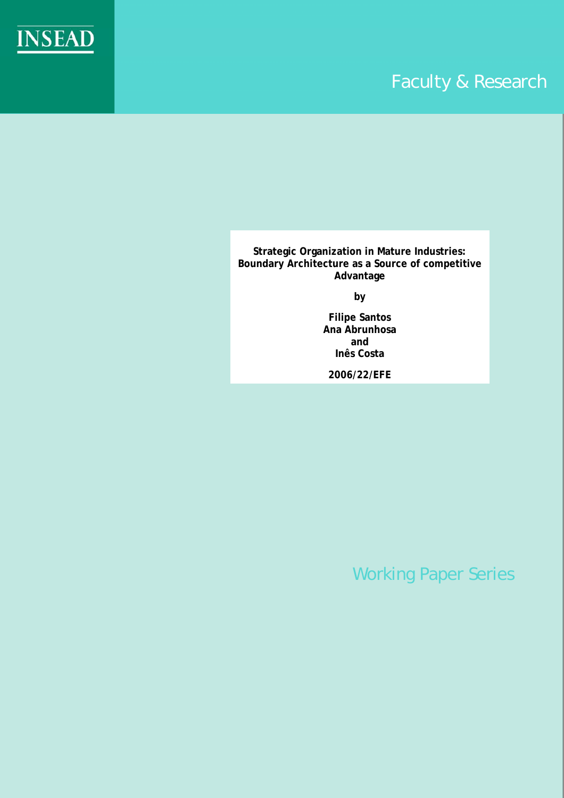

# Faculty & Research

**Strategic Organization in Mature Industries: Boundary Architecture as a Source of competitive Advantage** 

**by** 

**Filipe Santos Ana Abrunhosa and Inês Costa** 

**2006/22/EFE**

Working Paper Series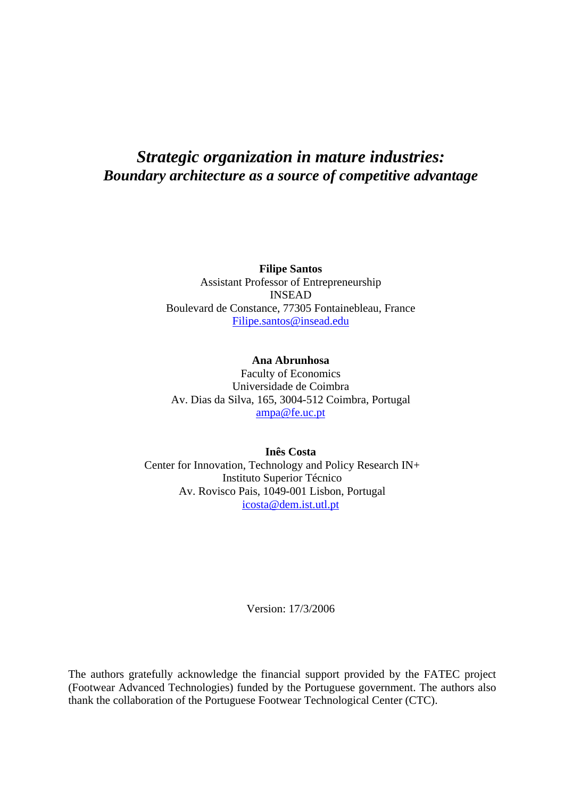# *Strategic organization in mature industries: Boundary architecture as a source of competitive advantage*

**Filipe Santos**  Assistant Professor of Entrepreneurship INSEAD Boulevard de Constance, 77305 Fontainebleau, France [Filipe.santos@insead.edu](mailto:Filipe.santos@insead.edu)

**Ana Abrunhosa**  Faculty of Economics Universidade de Coimbra Av. Dias da Silva, 165, 3004-512 Coimbra, Portugal [ampa@fe.uc.pt](mailto:ampa@fe.uc.pt)

**Inês Costa**  Center for Innovation, Technology and Policy Research IN+ Instituto Superior Técnico Av. Rovisco Pais, 1049-001 Lisbon, Portugal [icosta@dem.ist.utl.pt](mailto:icosta@dem.ist.utl.pt)

Version: 17/3/2006

The authors gratefully acknowledge the financial support provided by the FATEC project (Footwear Advanced Technologies) funded by the Portuguese government. The authors also thank the collaboration of the Portuguese Footwear Technological Center (CTC).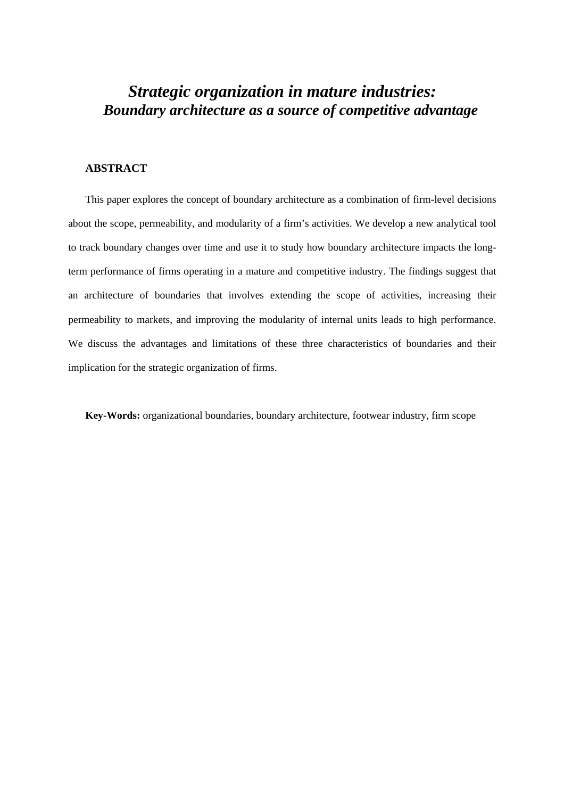# *Strategic organization in mature industries: Boundary architecture as a source of competitive advantage*

# **ABSTRACT**

This paper explores the concept of boundary architecture as a combination of firm-level decisions about the scope, permeability, and modularity of a firm's activities. We develop a new analytical tool to track boundary changes over time and use it to study how boundary architecture impacts the longterm performance of firms operating in a mature and competitive industry. The findings suggest that an architecture of boundaries that involves extending the scope of activities, increasing their permeability to markets, and improving the modularity of internal units leads to high performance. We discuss the advantages and limitations of these three characteristics of boundaries and their implication for the strategic organization of firms.

**Key-Words:** organizational boundaries, boundary architecture, footwear industry, firm scope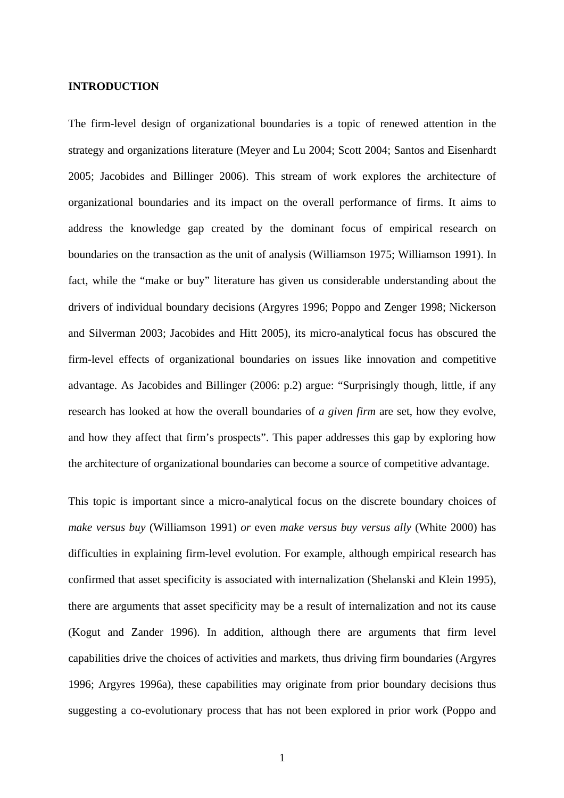#### **INTRODUCTION**

The firm-level design of organizational boundaries is a topic of renewed attention in the strategy and organizations literature (Meyer and Lu 2004; Scott 2004; Santos and Eisenhardt 2005; Jacobides and Billinger 2006). This stream of work explores the architecture of organizational boundaries and its impact on the overall performance of firms. It aims to address the knowledge gap created by the dominant focus of empirical research on boundaries on the transaction as the unit of analysis (Williamson 1975; Williamson 1991). In fact, while the "make or buy" literature has given us considerable understanding about the drivers of individual boundary decisions (Argyres 1996; Poppo and Zenger 1998; Nickerson and Silverman 2003; Jacobides and Hitt 2005), its micro-analytical focus has obscured the firm-level effects of organizational boundaries on issues like innovation and competitive advantage. As Jacobides and Billinger (2006: p.2) argue: "Surprisingly though, little, if any research has looked at how the overall boundaries of *a given firm* are set, how they evolve, and how they affect that firm's prospects". This paper addresses this gap by exploring how the architecture of organizational boundaries can become a source of competitive advantage.

This topic is important since a micro-analytical focus on the discrete boundary choices of *make versus buy* (Williamson 1991) *or* even *make versus buy versus ally* (White 2000) has difficulties in explaining firm-level evolution. For example, although empirical research has confirmed that asset specificity is associated with internalization (Shelanski and Klein 1995), there are arguments that asset specificity may be a result of internalization and not its cause (Kogut and Zander 1996). In addition, although there are arguments that firm level capabilities drive the choices of activities and markets, thus driving firm boundaries (Argyres 1996; Argyres 1996a), these capabilities may originate from prior boundary decisions thus suggesting a co-evolutionary process that has not been explored in prior work (Poppo and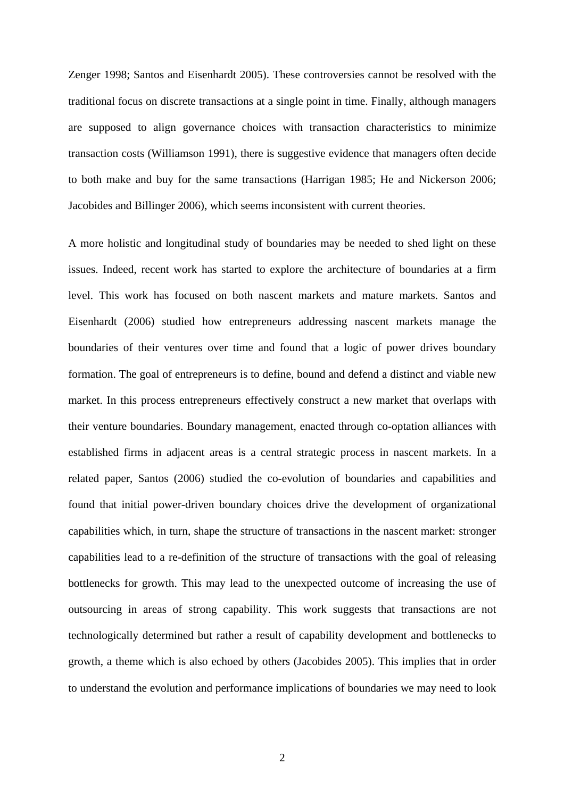Zenger 1998; Santos and Eisenhardt 2005). These controversies cannot be resolved with the traditional focus on discrete transactions at a single point in time. Finally, although managers are supposed to align governance choices with transaction characteristics to minimize transaction costs (Williamson 1991), there is suggestive evidence that managers often decide to both make and buy for the same transactions (Harrigan 1985; He and Nickerson 2006; Jacobides and Billinger 2006), which seems inconsistent with current theories.

A more holistic and longitudinal study of boundaries may be needed to shed light on these issues. Indeed, recent work has started to explore the architecture of boundaries at a firm level. This work has focused on both nascent markets and mature markets. Santos and Eisenhardt (2006) studied how entrepreneurs addressing nascent markets manage the boundaries of their ventures over time and found that a logic of power drives boundary formation. The goal of entrepreneurs is to define, bound and defend a distinct and viable new market. In this process entrepreneurs effectively construct a new market that overlaps with their venture boundaries. Boundary management, enacted through co-optation alliances with established firms in adjacent areas is a central strategic process in nascent markets. In a related paper, Santos (2006) studied the co-evolution of boundaries and capabilities and found that initial power-driven boundary choices drive the development of organizational capabilities which, in turn, shape the structure of transactions in the nascent market: stronger capabilities lead to a re-definition of the structure of transactions with the goal of releasing bottlenecks for growth. This may lead to the unexpected outcome of increasing the use of outsourcing in areas of strong capability. This work suggests that transactions are not technologically determined but rather a result of capability development and bottlenecks to growth, a theme which is also echoed by others (Jacobides 2005). This implies that in order to understand the evolution and performance implications of boundaries we may need to look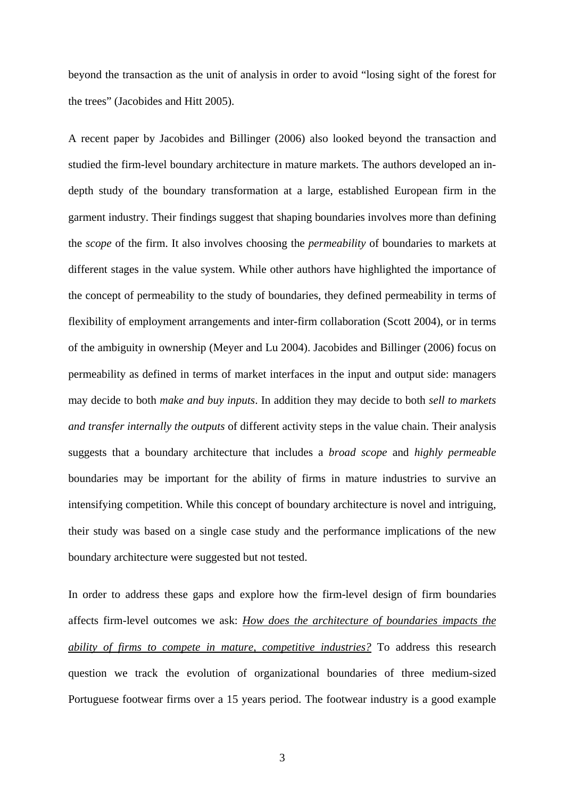beyond the transaction as the unit of analysis in order to avoid "losing sight of the forest for the trees" (Jacobides and Hitt 2005).

A recent paper by Jacobides and Billinger (2006) also looked beyond the transaction and studied the firm-level boundary architecture in mature markets. The authors developed an indepth study of the boundary transformation at a large, established European firm in the garment industry. Their findings suggest that shaping boundaries involves more than defining the *scope* of the firm. It also involves choosing the *permeability* of boundaries to markets at different stages in the value system. While other authors have highlighted the importance of the concept of permeability to the study of boundaries, they defined permeability in terms of flexibility of employment arrangements and inter-firm collaboration (Scott 2004), or in terms of the ambiguity in ownership (Meyer and Lu 2004). Jacobides and Billinger (2006) focus on permeability as defined in terms of market interfaces in the input and output side: managers may decide to both *make and buy inputs*. In addition they may decide to both *sell to markets and transfer internally the outputs* of different activity steps in the value chain. Their analysis suggests that a boundary architecture that includes a *broad scope* and *highly permeable* boundaries may be important for the ability of firms in mature industries to survive an intensifying competition. While this concept of boundary architecture is novel and intriguing, their study was based on a single case study and the performance implications of the new boundary architecture were suggested but not tested.

In order to address these gaps and explore how the firm-level design of firm boundaries affects firm-level outcomes we ask: *How does the architecture of boundaries impacts the ability of firms to compete in mature, competitive industries?* To address this research question we track the evolution of organizational boundaries of three medium-sized Portuguese footwear firms over a 15 years period. The footwear industry is a good example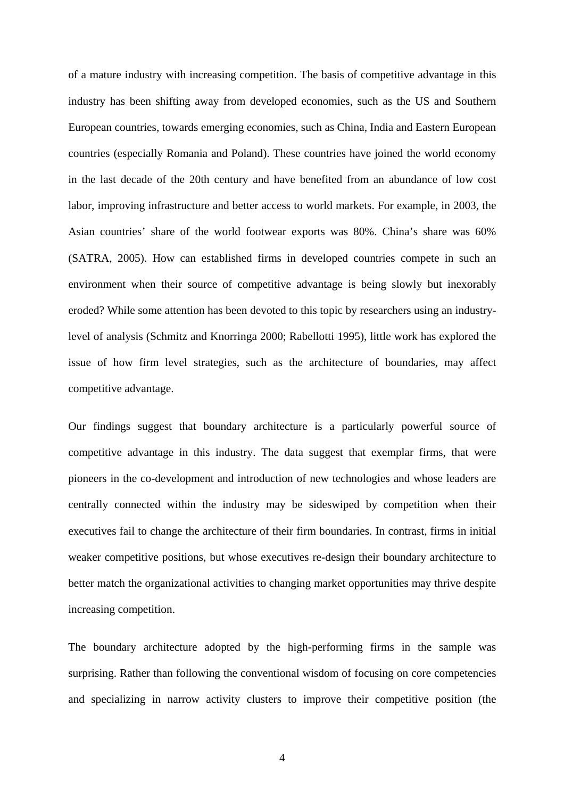of a mature industry with increasing competition. The basis of competitive advantage in this industry has been shifting away from developed economies, such as the US and Southern European countries, towards emerging economies, such as China, India and Eastern European countries (especially Romania and Poland). These countries have joined the world economy in the last decade of the 20th century and have benefited from an abundance of low cost labor, improving infrastructure and better access to world markets. For example, in 2003, the Asian countries' share of the world footwear exports was 80%. China's share was 60% (SATRA, 2005). How can established firms in developed countries compete in such an environment when their source of competitive advantage is being slowly but inexorably eroded? While some attention has been devoted to this topic by researchers using an industrylevel of analysis (Schmitz and Knorringa 2000; Rabellotti 1995), little work has explored the issue of how firm level strategies, such as the architecture of boundaries, may affect competitive advantage.

Our findings suggest that boundary architecture is a particularly powerful source of competitive advantage in this industry. The data suggest that exemplar firms, that were pioneers in the co-development and introduction of new technologies and whose leaders are centrally connected within the industry may be sideswiped by competition when their executives fail to change the architecture of their firm boundaries. In contrast, firms in initial weaker competitive positions, but whose executives re-design their boundary architecture to better match the organizational activities to changing market opportunities may thrive despite increasing competition.

The boundary architecture adopted by the high-performing firms in the sample was surprising. Rather than following the conventional wisdom of focusing on core competencies and specializing in narrow activity clusters to improve their competitive position (the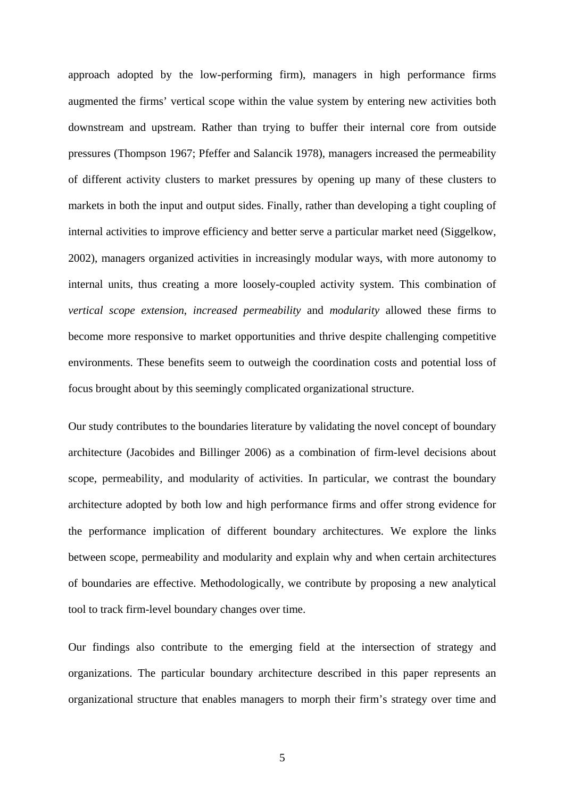approach adopted by the low-performing firm), managers in high performance firms augmented the firms' vertical scope within the value system by entering new activities both downstream and upstream. Rather than trying to buffer their internal core from outside pressures (Thompson 1967; Pfeffer and Salancik 1978), managers increased the permeability of different activity clusters to market pressures by opening up many of these clusters to markets in both the input and output sides. Finally, rather than developing a tight coupling of internal activities to improve efficiency and better serve a particular market need (Siggelkow, 2002), managers organized activities in increasingly modular ways, with more autonomy to internal units, thus creating a more loosely-coupled activity system. This combination of *vertical scope extension*, *increased permeability* and *modularity* allowed these firms to become more responsive to market opportunities and thrive despite challenging competitive environments. These benefits seem to outweigh the coordination costs and potential loss of focus brought about by this seemingly complicated organizational structure.

Our study contributes to the boundaries literature by validating the novel concept of boundary architecture (Jacobides and Billinger 2006) as a combination of firm-level decisions about scope, permeability, and modularity of activities. In particular, we contrast the boundary architecture adopted by both low and high performance firms and offer strong evidence for the performance implication of different boundary architectures. We explore the links between scope, permeability and modularity and explain why and when certain architectures of boundaries are effective. Methodologically, we contribute by proposing a new analytical tool to track firm-level boundary changes over time.

Our findings also contribute to the emerging field at the intersection of strategy and organizations. The particular boundary architecture described in this paper represents an organizational structure that enables managers to morph their firm's strategy over time and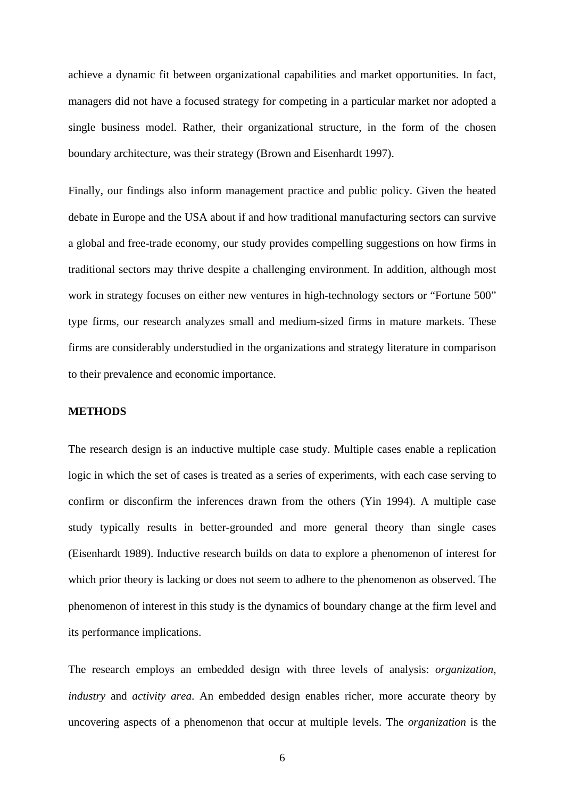achieve a dynamic fit between organizational capabilities and market opportunities. In fact, managers did not have a focused strategy for competing in a particular market nor adopted a single business model. Rather, their organizational structure, in the form of the chosen boundary architecture, was their strategy (Brown and Eisenhardt 1997).

Finally, our findings also inform management practice and public policy. Given the heated debate in Europe and the USA about if and how traditional manufacturing sectors can survive a global and free-trade economy, our study provides compelling suggestions on how firms in traditional sectors may thrive despite a challenging environment. In addition, although most work in strategy focuses on either new ventures in high-technology sectors or "Fortune 500" type firms, our research analyzes small and medium-sized firms in mature markets. These firms are considerably understudied in the organizations and strategy literature in comparison to their prevalence and economic importance.

#### **METHODS**

The research design is an inductive multiple case study. Multiple cases enable a replication logic in which the set of cases is treated as a series of experiments, with each case serving to confirm or disconfirm the inferences drawn from the others (Yin 1994). A multiple case study typically results in better-grounded and more general theory than single cases (Eisenhardt 1989). Inductive research builds on data to explore a phenomenon of interest for which prior theory is lacking or does not seem to adhere to the phenomenon as observed. The phenomenon of interest in this study is the dynamics of boundary change at the firm level and its performance implications.

The research employs an embedded design with three levels of analysis: *organization*, *industry* and *activity area*. An embedded design enables richer, more accurate theory by uncovering aspects of a phenomenon that occur at multiple levels. The *organization* is the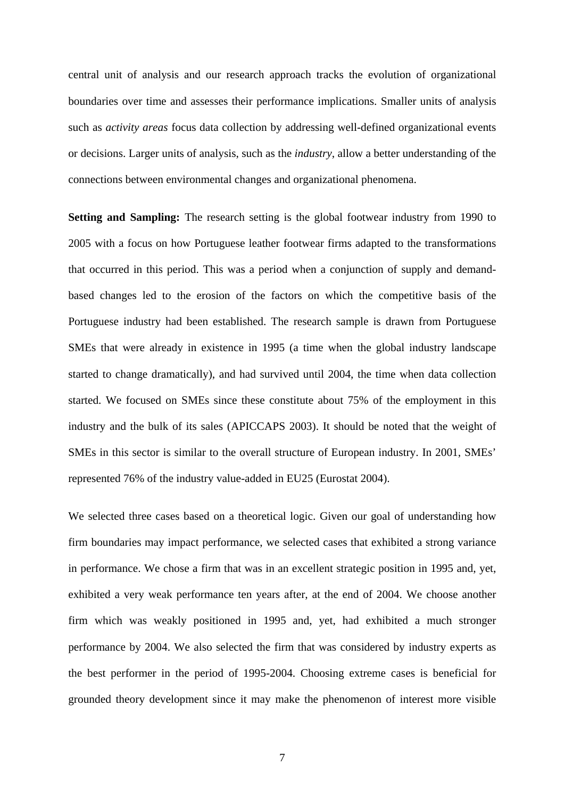central unit of analysis and our research approach tracks the evolution of organizational boundaries over time and assesses their performance implications. Smaller units of analysis such as *activity areas* focus data collection by addressing well-defined organizational events or decisions. Larger units of analysis, such as the *industry*, allow a better understanding of the connections between environmental changes and organizational phenomena.

**Setting and Sampling:** The research setting is the global footwear industry from 1990 to 2005 with a focus on how Portuguese leather footwear firms adapted to the transformations that occurred in this period. This was a period when a conjunction of supply and demandbased changes led to the erosion of the factors on which the competitive basis of the Portuguese industry had been established. The research sample is drawn from Portuguese SMEs that were already in existence in 1995 (a time when the global industry landscape started to change dramatically), and had survived until 2004, the time when data collection started. We focused on SMEs since these constitute about 75% of the employment in this industry and the bulk of its sales (APICCAPS 2003). It should be noted that the weight of SMEs in this sector is similar to the overall structure of European industry. In 2001, SMEs' represented 76% of the industry value-added in EU25 (Eurostat 2004).

We selected three cases based on a theoretical logic. Given our goal of understanding how firm boundaries may impact performance, we selected cases that exhibited a strong variance in performance. We chose a firm that was in an excellent strategic position in 1995 and, yet, exhibited a very weak performance ten years after, at the end of 2004. We choose another firm which was weakly positioned in 1995 and, yet, had exhibited a much stronger performance by 2004. We also selected the firm that was considered by industry experts as the best performer in the period of 1995-2004. Choosing extreme cases is beneficial for grounded theory development since it may make the phenomenon of interest more visible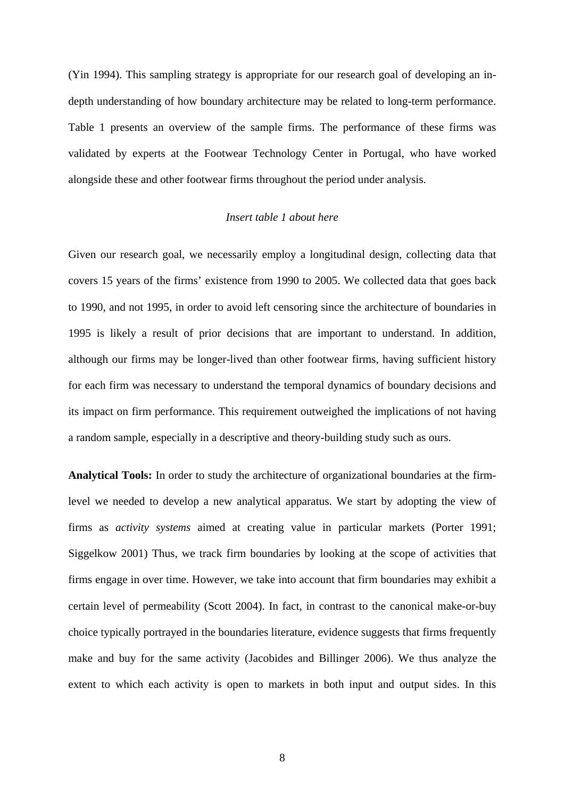(Yin 1994). This sampling strategy is appropriate for our research goal of developing an indepth understanding of how boundary architecture may be related to long-term performance. Table 1 presents an overview of the sample firms. The performance of these firms was validated by experts at the Footwear Technology Center in Portugal, who have worked alongside these and other footwear firms throughout the period under analysis.

# *Insert table 1 about here*

Given our research goal, we necessarily employ a longitudinal design, collecting data that covers 15 years of the firms' existence from 1990 to 2005. We collected data that goes back to 1990, and not 1995, in order to avoid left censoring since the architecture of boundaries in 1995 is likely a result of prior decisions that are important to understand. In addition, although our firms may be longer-lived than other footwear firms, having sufficient history for each firm was necessary to understand the temporal dynamics of boundary decisions and its impact on firm performance. This requirement outweighed the implications of not having a random sample, especially in a descriptive and theory-building study such as ours.

**Analytical Tools:** In order to study the architecture of organizational boundaries at the firmlevel we needed to develop a new analytical apparatus. We start by adopting the view of firms as *activity systems* aimed at creating value in particular markets (Porter 1991; Siggelkow 2001) Thus, we track firm boundaries by looking at the scope of activities that firms engage in over time. However, we take into account that firm boundaries may exhibit a certain level of permeability (Scott 2004). In fact, in contrast to the canonical make-or-buy choice typically portrayed in the boundaries literature, evidence suggests that firms frequently make and buy for the same activity (Jacobides and Billinger 2006). We thus analyze the extent to which each activity is open to markets in both input and output sides. In this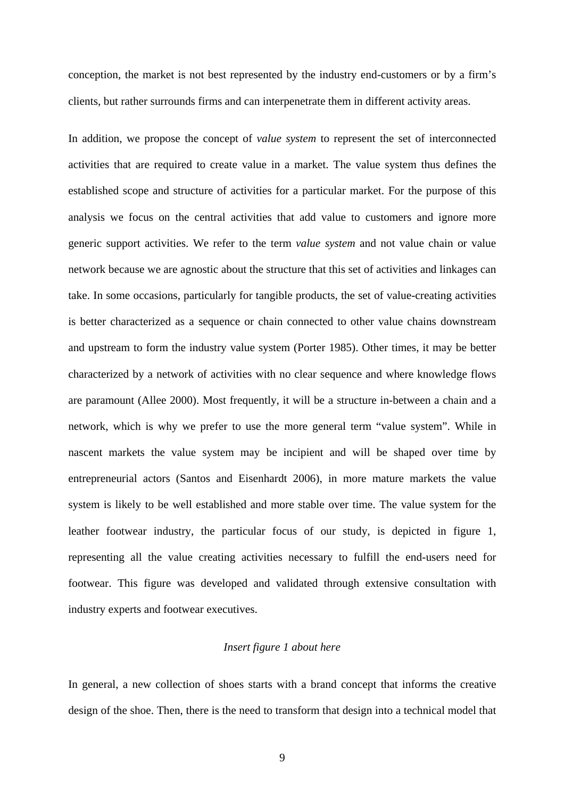conception, the market is not best represented by the industry end-customers or by a firm's clients, but rather surrounds firms and can interpenetrate them in different activity areas.

In addition, we propose the concept of *value system* to represent the set of interconnected activities that are required to create value in a market. The value system thus defines the established scope and structure of activities for a particular market. For the purpose of this analysis we focus on the central activities that add value to customers and ignore more generic support activities. We refer to the term *value system* and not value chain or value network because we are agnostic about the structure that this set of activities and linkages can take. In some occasions, particularly for tangible products, the set of value-creating activities is better characterized as a sequence or chain connected to other value chains downstream and upstream to form the industry value system (Porter 1985). Other times, it may be better characterized by a network of activities with no clear sequence and where knowledge flows are paramount (Allee 2000). Most frequently, it will be a structure in-between a chain and a network, which is why we prefer to use the more general term "value system". While in nascent markets the value system may be incipient and will be shaped over time by entrepreneurial actors (Santos and Eisenhardt 2006), in more mature markets the value system is likely to be well established and more stable over time. The value system for the leather footwear industry, the particular focus of our study, is depicted in figure 1, representing all the value creating activities necessary to fulfill the end-users need for footwear. This figure was developed and validated through extensive consultation with industry experts and footwear executives.

# *Insert figure 1 about here*

In general, a new collection of shoes starts with a brand concept that informs the creative design of the shoe. Then, there is the need to transform that design into a technical model that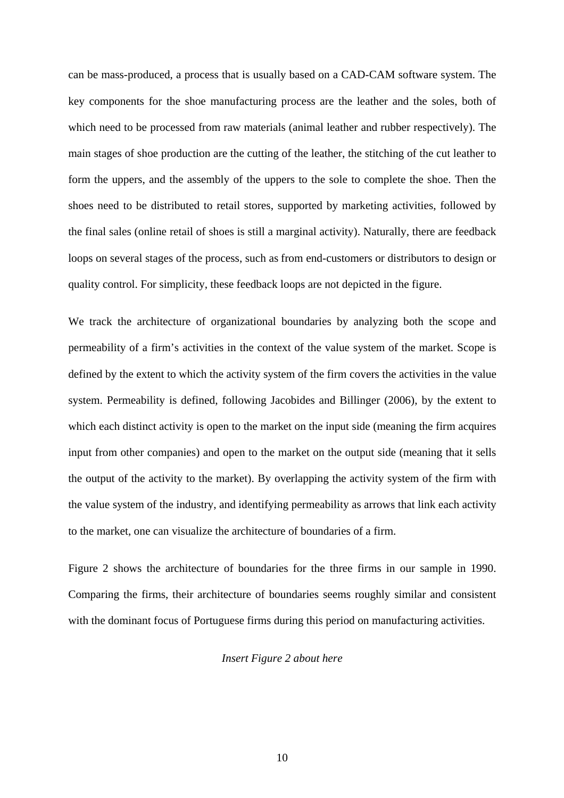can be mass-produced, a process that is usually based on a CAD-CAM software system. The key components for the shoe manufacturing process are the leather and the soles, both of which need to be processed from raw materials (animal leather and rubber respectively). The main stages of shoe production are the cutting of the leather, the stitching of the cut leather to form the uppers, and the assembly of the uppers to the sole to complete the shoe. Then the shoes need to be distributed to retail stores, supported by marketing activities, followed by the final sales (online retail of shoes is still a marginal activity). Naturally, there are feedback loops on several stages of the process, such as from end-customers or distributors to design or quality control. For simplicity, these feedback loops are not depicted in the figure.

We track the architecture of organizational boundaries by analyzing both the scope and permeability of a firm's activities in the context of the value system of the market. Scope is defined by the extent to which the activity system of the firm covers the activities in the value system. Permeability is defined, following Jacobides and Billinger (2006), by the extent to which each distinct activity is open to the market on the input side (meaning the firm acquires input from other companies) and open to the market on the output side (meaning that it sells the output of the activity to the market). By overlapping the activity system of the firm with the value system of the industry, and identifying permeability as arrows that link each activity to the market, one can visualize the architecture of boundaries of a firm.

Figure 2 shows the architecture of boundaries for the three firms in our sample in 1990. Comparing the firms, their architecture of boundaries seems roughly similar and consistent with the dominant focus of Portuguese firms during this period on manufacturing activities.

# *Insert Figure 2 about here*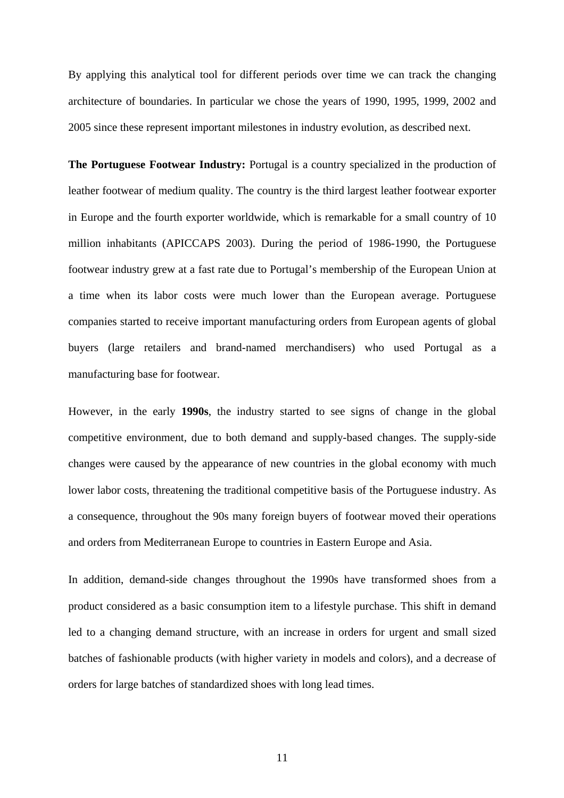By applying this analytical tool for different periods over time we can track the changing architecture of boundaries. In particular we chose the years of 1990, 1995, 1999, 2002 and 2005 since these represent important milestones in industry evolution, as described next.

**The Portuguese Footwear Industry:** Portugal is a country specialized in the production of leather footwear of medium quality. The country is the third largest leather footwear exporter in Europe and the fourth exporter worldwide, which is remarkable for a small country of 10 million inhabitants (APICCAPS 2003). During the period of 1986-1990, the Portuguese footwear industry grew at a fast rate due to Portugal's membership of the European Union at a time when its labor costs were much lower than the European average. Portuguese companies started to receive important manufacturing orders from European agents of global buyers (large retailers and brand-named merchandisers) who used Portugal as a manufacturing base for footwear.

However, in the early **1990s**, the industry started to see signs of change in the global competitive environment, due to both demand and supply-based changes. The supply-side changes were caused by the appearance of new countries in the global economy with much lower labor costs, threatening the traditional competitive basis of the Portuguese industry. As a consequence, throughout the 90s many foreign buyers of footwear moved their operations and orders from Mediterranean Europe to countries in Eastern Europe and Asia.

In addition, demand-side changes throughout the 1990s have transformed shoes from a product considered as a basic consumption item to a lifestyle purchase. This shift in demand led to a changing demand structure, with an increase in orders for urgent and small sized batches of fashionable products (with higher variety in models and colors), and a decrease of orders for large batches of standardized shoes with long lead times.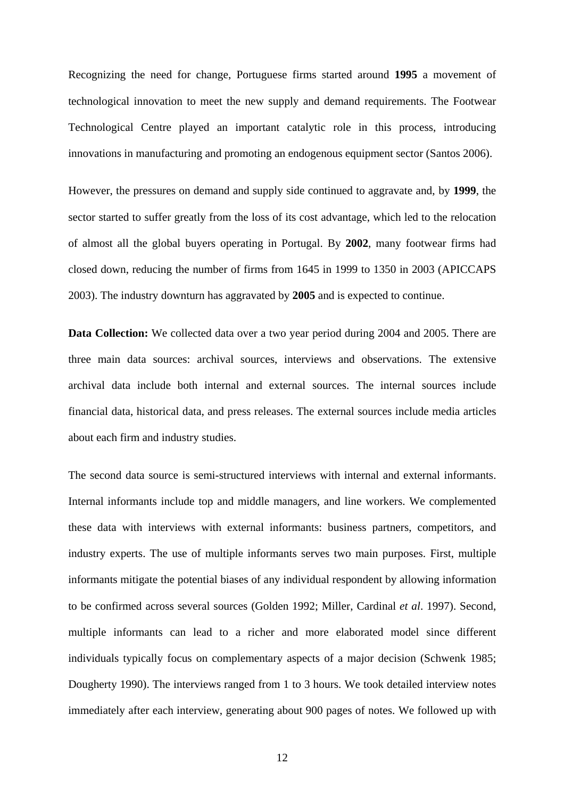Recognizing the need for change, Portuguese firms started around **1995** a movement of technological innovation to meet the new supply and demand requirements. The Footwear Technological Centre played an important catalytic role in this process, introducing innovations in manufacturing and promoting an endogenous equipment sector (Santos 2006).

However, the pressures on demand and supply side continued to aggravate and, by **1999**, the sector started to suffer greatly from the loss of its cost advantage, which led to the relocation of almost all the global buyers operating in Portugal. By **2002**, many footwear firms had closed down, reducing the number of firms from 1645 in 1999 to 1350 in 2003 (APICCAPS 2003). The industry downturn has aggravated by **2005** and is expected to continue.

**Data Collection:** We collected data over a two year period during 2004 and 2005. There are three main data sources: archival sources, interviews and observations. The extensive archival data include both internal and external sources. The internal sources include financial data, historical data, and press releases. The external sources include media articles about each firm and industry studies.

The second data source is semi-structured interviews with internal and external informants. Internal informants include top and middle managers, and line workers. We complemented these data with interviews with external informants: business partners, competitors, and industry experts. The use of multiple informants serves two main purposes. First, multiple informants mitigate the potential biases of any individual respondent by allowing information to be confirmed across several sources (Golden 1992; Miller, Cardinal *et al*. 1997). Second, multiple informants can lead to a richer and more elaborated model since different individuals typically focus on complementary aspects of a major decision (Schwenk 1985; Dougherty 1990). The interviews ranged from 1 to 3 hours. We took detailed interview notes immediately after each interview, generating about 900 pages of notes. We followed up with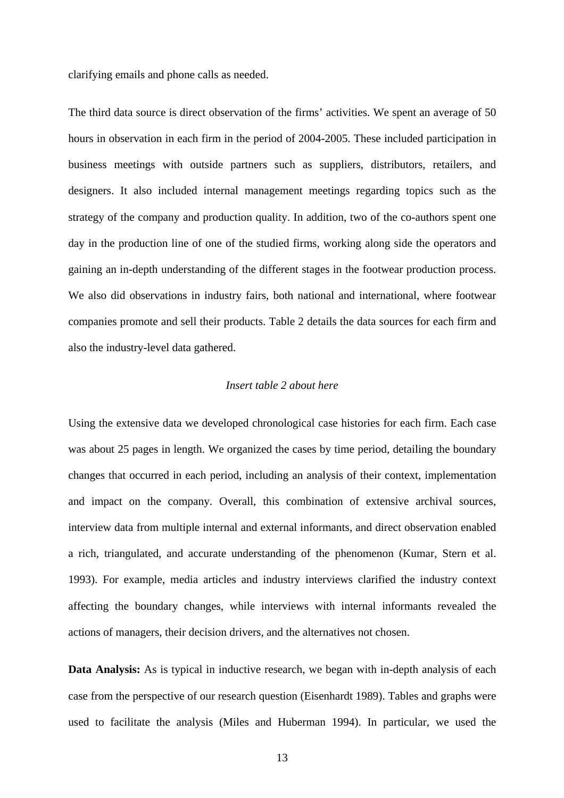clarifying emails and phone calls as needed.

The third data source is direct observation of the firms' activities. We spent an average of 50 hours in observation in each firm in the period of 2004-2005. These included participation in business meetings with outside partners such as suppliers, distributors, retailers, and designers. It also included internal management meetings regarding topics such as the strategy of the company and production quality. In addition, two of the co-authors spent one day in the production line of one of the studied firms, working along side the operators and gaining an in-depth understanding of the different stages in the footwear production process. We also did observations in industry fairs, both national and international, where footwear companies promote and sell their products. Table 2 details the data sources for each firm and also the industry-level data gathered.

# *Insert table 2 about here*

Using the extensive data we developed chronological case histories for each firm. Each case was about 25 pages in length. We organized the cases by time period, detailing the boundary changes that occurred in each period, including an analysis of their context, implementation and impact on the company. Overall, this combination of extensive archival sources, interview data from multiple internal and external informants, and direct observation enabled a rich, triangulated, and accurate understanding of the phenomenon (Kumar, Stern et al. 1993). For example, media articles and industry interviews clarified the industry context affecting the boundary changes, while interviews with internal informants revealed the actions of managers, their decision drivers, and the alternatives not chosen.

**Data Analysis:** As is typical in inductive research, we began with in-depth analysis of each case from the perspective of our research question (Eisenhardt 1989). Tables and graphs were used to facilitate the analysis (Miles and Huberman 1994). In particular, we used the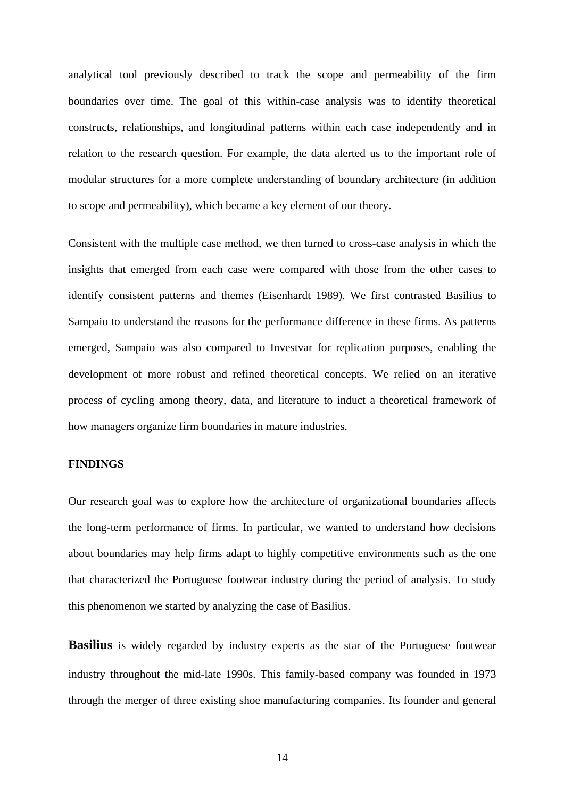analytical tool previously described to track the scope and permeability of the firm boundaries over time. The goal of this within-case analysis was to identify theoretical constructs, relationships, and longitudinal patterns within each case independently and in relation to the research question. For example, the data alerted us to the important role of modular structures for a more complete understanding of boundary architecture (in addition to scope and permeability), which became a key element of our theory.

Consistent with the multiple case method, we then turned to cross-case analysis in which the insights that emerged from each case were compared with those from the other cases to identify consistent patterns and themes (Eisenhardt 1989). We first contrasted Basilius to Sampaio to understand the reasons for the performance difference in these firms. As patterns emerged, Sampaio was also compared to Investvar for replication purposes, enabling the development of more robust and refined theoretical concepts. We relied on an iterative process of cycling among theory, data, and literature to induct a theoretical framework of how managers organize firm boundaries in mature industries.

# **FINDINGS**

Our research goal was to explore how the architecture of organizational boundaries affects the long-term performance of firms. In particular, we wanted to understand how decisions about boundaries may help firms adapt to highly competitive environments such as the one that characterized the Portuguese footwear industry during the period of analysis. To study this phenomenon we started by analyzing the case of Basilius.

**Basilius** is widely regarded by industry experts as the star of the Portuguese footwear industry throughout the mid-late 1990s. This family-based company was founded in 1973 through the merger of three existing shoe manufacturing companies. Its founder and general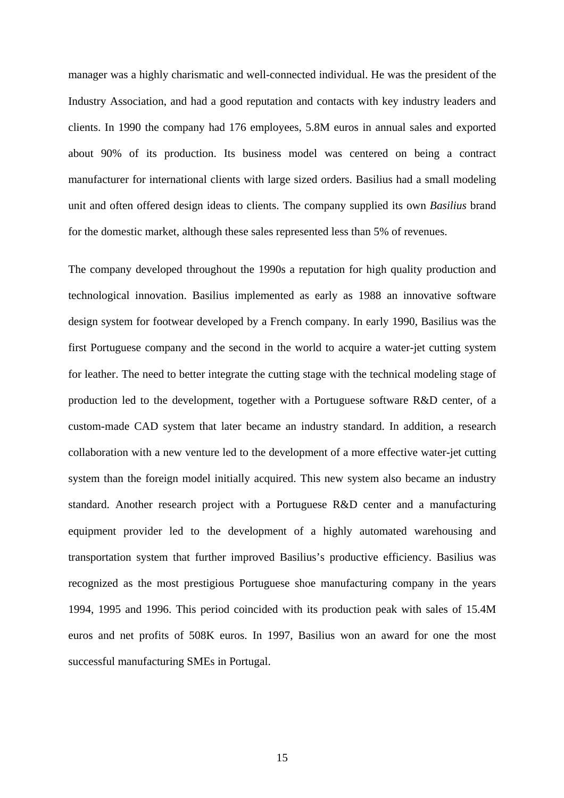manager was a highly charismatic and well-connected individual. He was the president of the Industry Association, and had a good reputation and contacts with key industry leaders and clients. In 1990 the company had 176 employees, 5.8M euros in annual sales and exported about 90% of its production. Its business model was centered on being a contract manufacturer for international clients with large sized orders. Basilius had a small modeling unit and often offered design ideas to clients. The company supplied its own *Basilius* brand for the domestic market, although these sales represented less than 5% of revenues.

The company developed throughout the 1990s a reputation for high quality production and technological innovation. Basilius implemented as early as 1988 an innovative software design system for footwear developed by a French company. In early 1990, Basilius was the first Portuguese company and the second in the world to acquire a water-jet cutting system for leather. The need to better integrate the cutting stage with the technical modeling stage of production led to the development, together with a Portuguese software R&D center, of a custom-made CAD system that later became an industry standard. In addition, a research collaboration with a new venture led to the development of a more effective water-jet cutting system than the foreign model initially acquired. This new system also became an industry standard. Another research project with a Portuguese R&D center and a manufacturing equipment provider led to the development of a highly automated warehousing and transportation system that further improved Basilius's productive efficiency. Basilius was recognized as the most prestigious Portuguese shoe manufacturing company in the years 1994, 1995 and 1996. This period coincided with its production peak with sales of 15.4M euros and net profits of 508K euros. In 1997, Basilius won an award for one the most successful manufacturing SMEs in Portugal.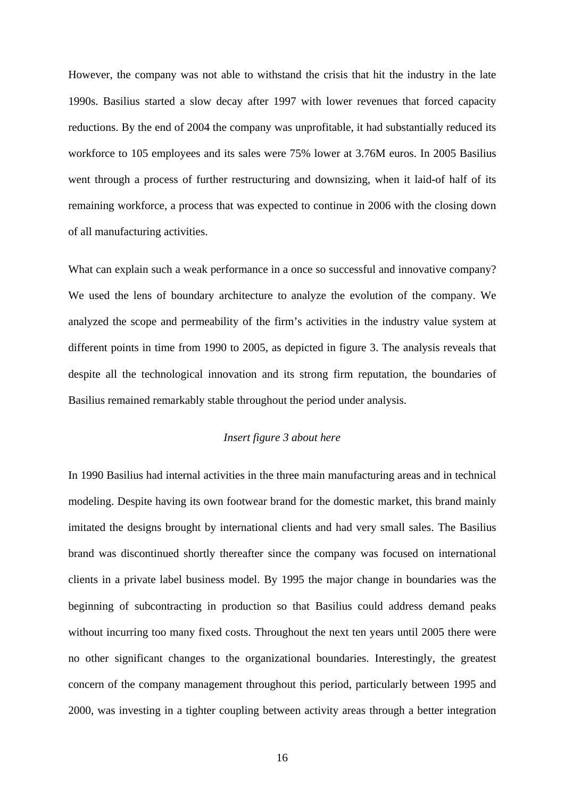However, the company was not able to withstand the crisis that hit the industry in the late 1990s. Basilius started a slow decay after 1997 with lower revenues that forced capacity reductions. By the end of 2004 the company was unprofitable, it had substantially reduced its workforce to 105 employees and its sales were 75% lower at 3.76M euros. In 2005 Basilius went through a process of further restructuring and downsizing, when it laid-of half of its remaining workforce, a process that was expected to continue in 2006 with the closing down of all manufacturing activities.

What can explain such a weak performance in a once so successful and innovative company? We used the lens of boundary architecture to analyze the evolution of the company. We analyzed the scope and permeability of the firm's activities in the industry value system at different points in time from 1990 to 2005, as depicted in figure 3. The analysis reveals that despite all the technological innovation and its strong firm reputation, the boundaries of Basilius remained remarkably stable throughout the period under analysis.

# *Insert figure 3 about here*

In 1990 Basilius had internal activities in the three main manufacturing areas and in technical modeling. Despite having its own footwear brand for the domestic market, this brand mainly imitated the designs brought by international clients and had very small sales. The Basilius brand was discontinued shortly thereafter since the company was focused on international clients in a private label business model. By 1995 the major change in boundaries was the beginning of subcontracting in production so that Basilius could address demand peaks without incurring too many fixed costs. Throughout the next ten years until 2005 there were no other significant changes to the organizational boundaries. Interestingly, the greatest concern of the company management throughout this period, particularly between 1995 and 2000, was investing in a tighter coupling between activity areas through a better integration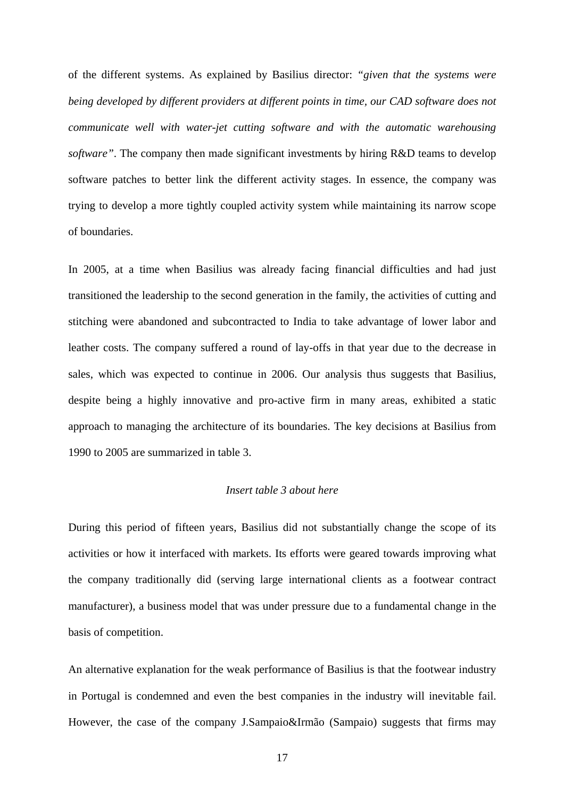of the different systems. As explained by Basilius director: *"given that the systems were being developed by different providers at different points in time, our CAD software does not communicate well with water-jet cutting software and with the automatic warehousing software"*. The company then made significant investments by hiring R&D teams to develop software patches to better link the different activity stages. In essence, the company was trying to develop a more tightly coupled activity system while maintaining its narrow scope of boundaries.

In 2005, at a time when Basilius was already facing financial difficulties and had just transitioned the leadership to the second generation in the family, the activities of cutting and stitching were abandoned and subcontracted to India to take advantage of lower labor and leather costs. The company suffered a round of lay-offs in that year due to the decrease in sales, which was expected to continue in 2006. Our analysis thus suggests that Basilius, despite being a highly innovative and pro-active firm in many areas, exhibited a static approach to managing the architecture of its boundaries. The key decisions at Basilius from 1990 to 2005 are summarized in table 3.

### *Insert table 3 about here*

During this period of fifteen years, Basilius did not substantially change the scope of its activities or how it interfaced with markets. Its efforts were geared towards improving what the company traditionally did (serving large international clients as a footwear contract manufacturer), a business model that was under pressure due to a fundamental change in the basis of competition.

An alternative explanation for the weak performance of Basilius is that the footwear industry in Portugal is condemned and even the best companies in the industry will inevitable fail. However, the case of the company J.Sampaio&Irmão (Sampaio) suggests that firms may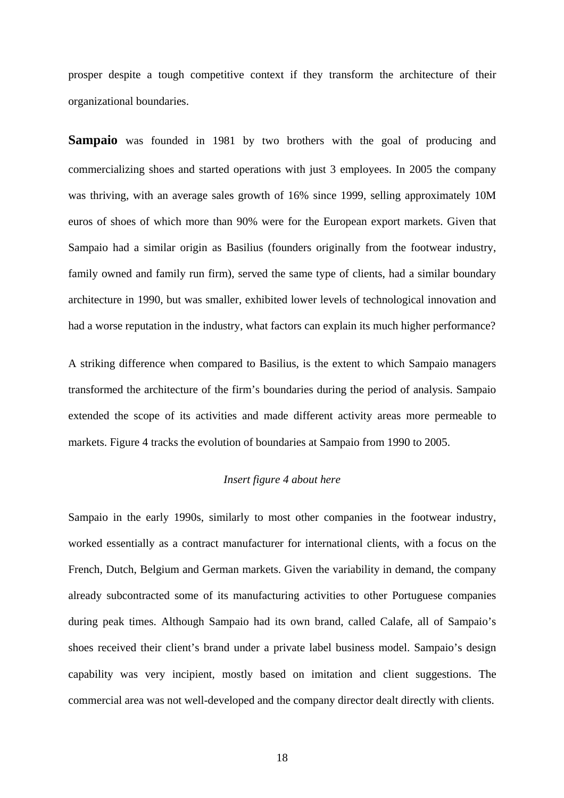prosper despite a tough competitive context if they transform the architecture of their organizational boundaries.

**Sampaio** was founded in 1981 by two brothers with the goal of producing and commercializing shoes and started operations with just 3 employees. In 2005 the company was thriving, with an average sales growth of 16% since 1999, selling approximately 10M euros of shoes of which more than 90% were for the European export markets. Given that Sampaio had a similar origin as Basilius (founders originally from the footwear industry, family owned and family run firm), served the same type of clients, had a similar boundary architecture in 1990, but was smaller, exhibited lower levels of technological innovation and had a worse reputation in the industry, what factors can explain its much higher performance?

A striking difference when compared to Basilius, is the extent to which Sampaio managers transformed the architecture of the firm's boundaries during the period of analysis. Sampaio extended the scope of its activities and made different activity areas more permeable to markets. Figure 4 tracks the evolution of boundaries at Sampaio from 1990 to 2005.

# *Insert figure 4 about here*

Sampaio in the early 1990s, similarly to most other companies in the footwear industry, worked essentially as a contract manufacturer for international clients, with a focus on the French, Dutch, Belgium and German markets. Given the variability in demand, the company already subcontracted some of its manufacturing activities to other Portuguese companies during peak times. Although Sampaio had its own brand, called Calafe, all of Sampaio's shoes received their client's brand under a private label business model. Sampaio's design capability was very incipient, mostly based on imitation and client suggestions. The commercial area was not well-developed and the company director dealt directly with clients.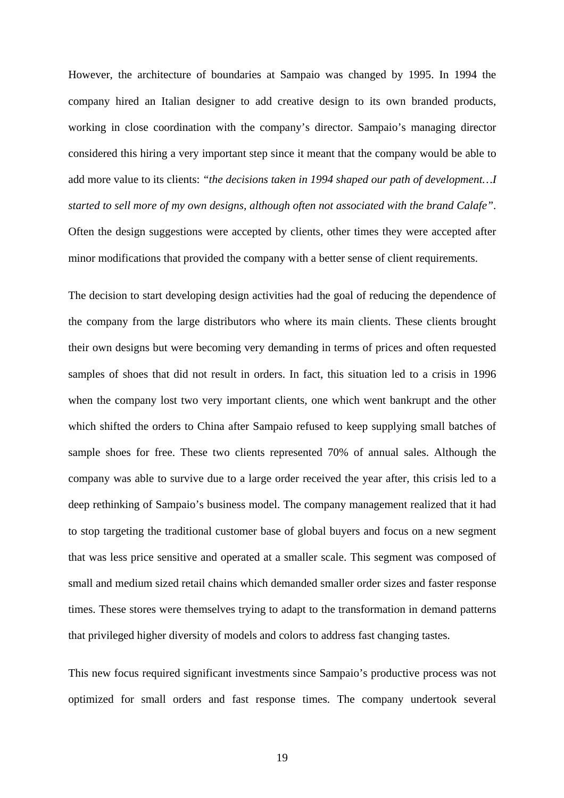However, the architecture of boundaries at Sampaio was changed by 1995. In 1994 the company hired an Italian designer to add creative design to its own branded products, working in close coordination with the company's director. Sampaio's managing director considered this hiring a very important step since it meant that the company would be able to add more value to its clients: *"the decisions taken in 1994 shaped our path of development…I started to sell more of my own designs, although often not associated with the brand Calafe"*. Often the design suggestions were accepted by clients, other times they were accepted after minor modifications that provided the company with a better sense of client requirements.

The decision to start developing design activities had the goal of reducing the dependence of the company from the large distributors who where its main clients. These clients brought their own designs but were becoming very demanding in terms of prices and often requested samples of shoes that did not result in orders. In fact, this situation led to a crisis in 1996 when the company lost two very important clients, one which went bankrupt and the other which shifted the orders to China after Sampaio refused to keep supplying small batches of sample shoes for free. These two clients represented 70% of annual sales. Although the company was able to survive due to a large order received the year after, this crisis led to a deep rethinking of Sampaio's business model. The company management realized that it had to stop targeting the traditional customer base of global buyers and focus on a new segment that was less price sensitive and operated at a smaller scale. This segment was composed of small and medium sized retail chains which demanded smaller order sizes and faster response times. These stores were themselves trying to adapt to the transformation in demand patterns that privileged higher diversity of models and colors to address fast changing tastes.

This new focus required significant investments since Sampaio's productive process was not optimized for small orders and fast response times. The company undertook several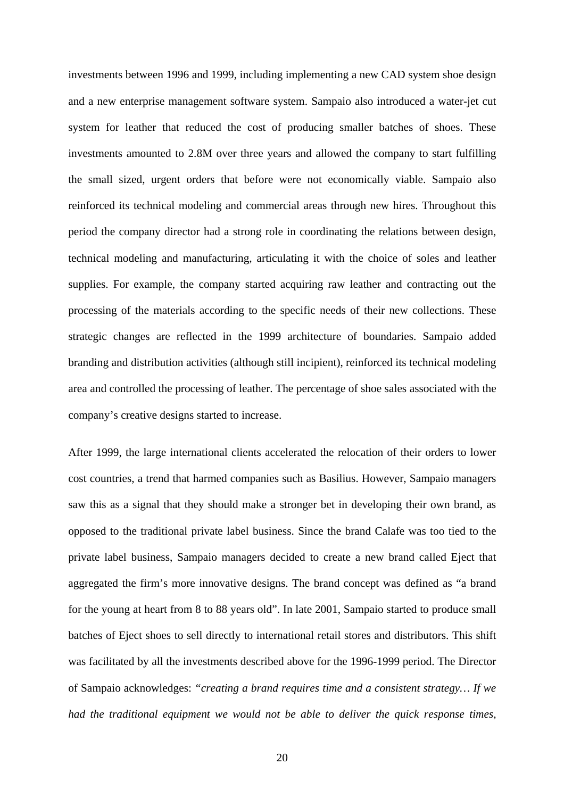investments between 1996 and 1999, including implementing a new CAD system shoe design and a new enterprise management software system. Sampaio also introduced a water-jet cut system for leather that reduced the cost of producing smaller batches of shoes. These investments amounted to 2.8M over three years and allowed the company to start fulfilling the small sized, urgent orders that before were not economically viable. Sampaio also reinforced its technical modeling and commercial areas through new hires. Throughout this period the company director had a strong role in coordinating the relations between design, technical modeling and manufacturing, articulating it with the choice of soles and leather supplies. For example, the company started acquiring raw leather and contracting out the processing of the materials according to the specific needs of their new collections. These strategic changes are reflected in the 1999 architecture of boundaries. Sampaio added branding and distribution activities (although still incipient), reinforced its technical modeling area and controlled the processing of leather. The percentage of shoe sales associated with the company's creative designs started to increase.

After 1999, the large international clients accelerated the relocation of their orders to lower cost countries, a trend that harmed companies such as Basilius. However, Sampaio managers saw this as a signal that they should make a stronger bet in developing their own brand, as opposed to the traditional private label business. Since the brand Calafe was too tied to the private label business, Sampaio managers decided to create a new brand called Eject that aggregated the firm's more innovative designs. The brand concept was defined as "a brand for the young at heart from 8 to 88 years old". In late 2001, Sampaio started to produce small batches of Eject shoes to sell directly to international retail stores and distributors. This shift was facilitated by all the investments described above for the 1996-1999 period. The Director of Sampaio acknowledges: *"creating a brand requires time and a consistent strategy… If we had the traditional equipment we would not be able to deliver the quick response times,*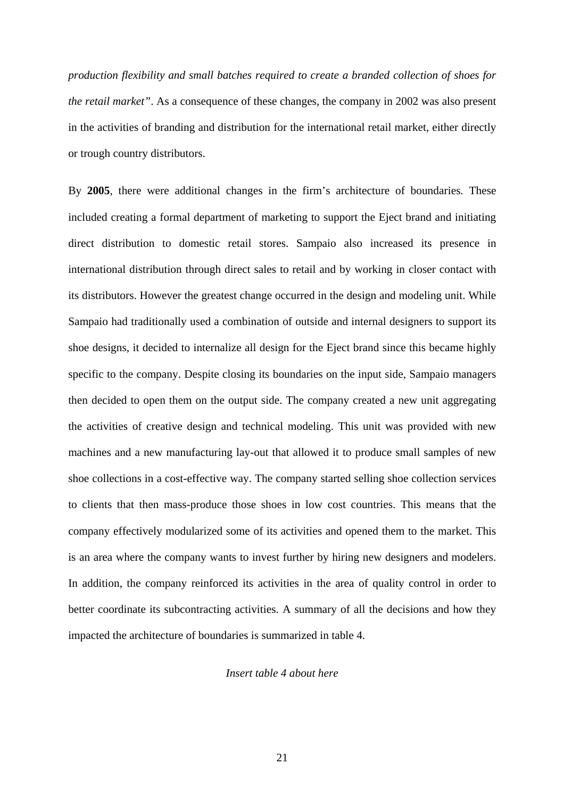*production flexibility and small batches required to create a branded collection of shoes for the retail market"*. As a consequence of these changes, the company in 2002 was also present in the activities of branding and distribution for the international retail market, either directly or trough country distributors.

By **2005**, there were additional changes in the firm's architecture of boundaries. These included creating a formal department of marketing to support the Eject brand and initiating direct distribution to domestic retail stores. Sampaio also increased its presence in international distribution through direct sales to retail and by working in closer contact with its distributors. However the greatest change occurred in the design and modeling unit. While Sampaio had traditionally used a combination of outside and internal designers to support its shoe designs, it decided to internalize all design for the Eject brand since this became highly specific to the company. Despite closing its boundaries on the input side, Sampaio managers then decided to open them on the output side. The company created a new unit aggregating the activities of creative design and technical modeling. This unit was provided with new machines and a new manufacturing lay-out that allowed it to produce small samples of new shoe collections in a cost-effective way. The company started selling shoe collection services to clients that then mass-produce those shoes in low cost countries. This means that the company effectively modularized some of its activities and opened them to the market. This is an area where the company wants to invest further by hiring new designers and modelers. In addition, the company reinforced its activities in the area of quality control in order to better coordinate its subcontracting activities. A summary of all the decisions and how they impacted the architecture of boundaries is summarized in table 4.

# *Insert table 4 about here*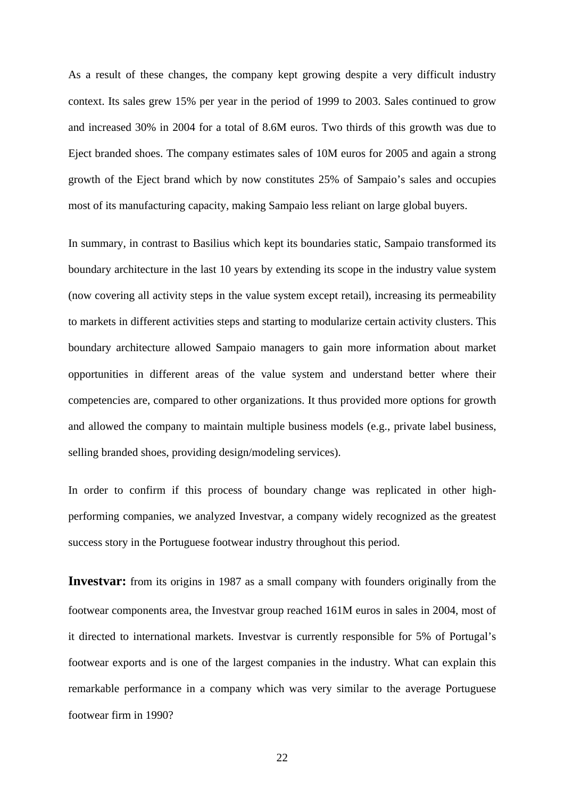As a result of these changes, the company kept growing despite a very difficult industry context. Its sales grew 15% per year in the period of 1999 to 2003. Sales continued to grow and increased 30% in 2004 for a total of 8.6M euros. Two thirds of this growth was due to Eject branded shoes. The company estimates sales of 10M euros for 2005 and again a strong growth of the Eject brand which by now constitutes 25% of Sampaio's sales and occupies most of its manufacturing capacity, making Sampaio less reliant on large global buyers.

In summary, in contrast to Basilius which kept its boundaries static, Sampaio transformed its boundary architecture in the last 10 years by extending its scope in the industry value system (now covering all activity steps in the value system except retail), increasing its permeability to markets in different activities steps and starting to modularize certain activity clusters. This boundary architecture allowed Sampaio managers to gain more information about market opportunities in different areas of the value system and understand better where their competencies are, compared to other organizations. It thus provided more options for growth and allowed the company to maintain multiple business models (e.g., private label business, selling branded shoes, providing design/modeling services).

In order to confirm if this process of boundary change was replicated in other highperforming companies, we analyzed Investvar, a company widely recognized as the greatest success story in the Portuguese footwear industry throughout this period.

**Investvar:** from its origins in 1987 as a small company with founders originally from the footwear components area, the Investvar group reached 161M euros in sales in 2004, most of it directed to international markets. Investvar is currently responsible for 5% of Portugal's footwear exports and is one of the largest companies in the industry. What can explain this remarkable performance in a company which was very similar to the average Portuguese footwear firm in 1990?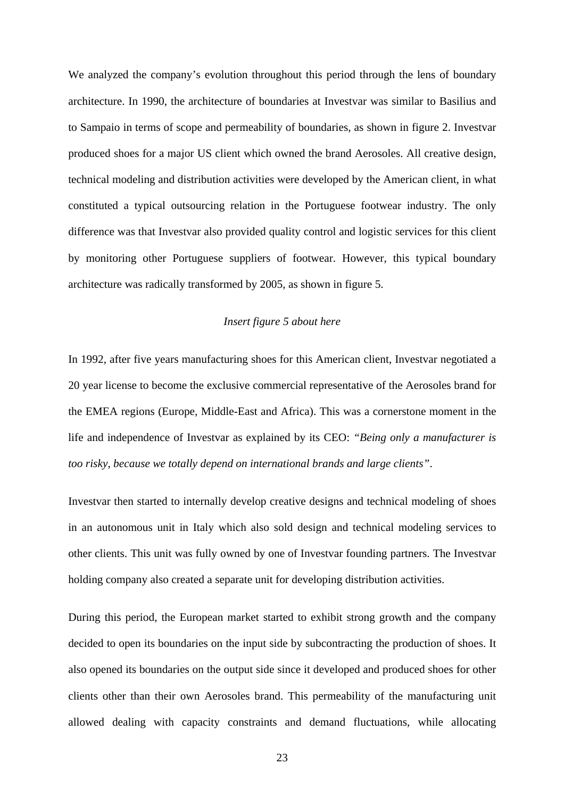We analyzed the company's evolution throughout this period through the lens of boundary architecture. In 1990, the architecture of boundaries at Investvar was similar to Basilius and to Sampaio in terms of scope and permeability of boundaries, as shown in figure 2. Investvar produced shoes for a major US client which owned the brand Aerosoles. All creative design, technical modeling and distribution activities were developed by the American client, in what constituted a typical outsourcing relation in the Portuguese footwear industry. The only difference was that Investvar also provided quality control and logistic services for this client by monitoring other Portuguese suppliers of footwear. However, this typical boundary architecture was radically transformed by 2005, as shown in figure 5.

# *Insert figure 5 about here*

In 1992, after five years manufacturing shoes for this American client, Investvar negotiated a 20 year license to become the exclusive commercial representative of the Aerosoles brand for the EMEA regions (Europe, Middle-East and Africa). This was a cornerstone moment in the life and independence of Investvar as explained by its CEO: *"Being only a manufacturer is too risky, because we totally depend on international brands and large clients"*.

Investvar then started to internally develop creative designs and technical modeling of shoes in an autonomous unit in Italy which also sold design and technical modeling services to other clients. This unit was fully owned by one of Investvar founding partners. The Investvar holding company also created a separate unit for developing distribution activities.

During this period, the European market started to exhibit strong growth and the company decided to open its boundaries on the input side by subcontracting the production of shoes. It also opened its boundaries on the output side since it developed and produced shoes for other clients other than their own Aerosoles brand. This permeability of the manufacturing unit allowed dealing with capacity constraints and demand fluctuations, while allocating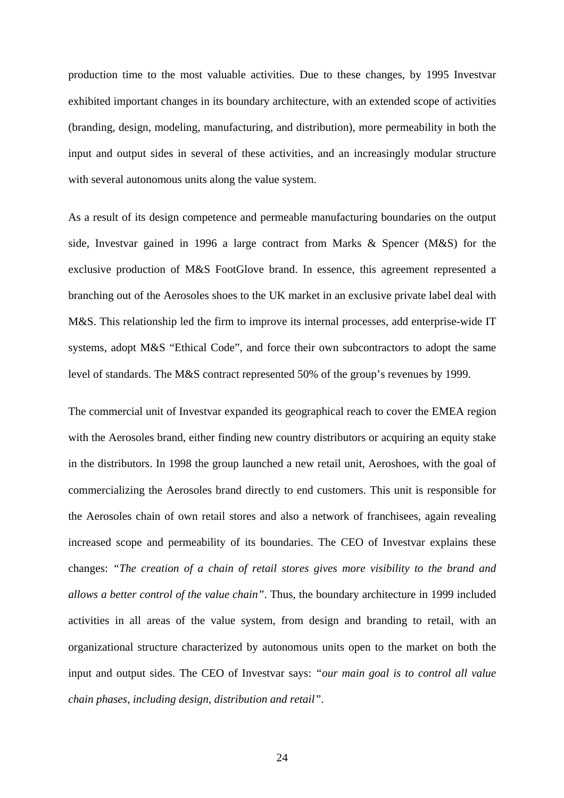production time to the most valuable activities. Due to these changes, by 1995 Investvar exhibited important changes in its boundary architecture, with an extended scope of activities (branding, design, modeling, manufacturing, and distribution), more permeability in both the input and output sides in several of these activities, and an increasingly modular structure with several autonomous units along the value system.

As a result of its design competence and permeable manufacturing boundaries on the output side, Investvar gained in 1996 a large contract from Marks & Spencer (M&S) for the exclusive production of M&S FootGlove brand. In essence, this agreement represented a branching out of the Aerosoles shoes to the UK market in an exclusive private label deal with M&S. This relationship led the firm to improve its internal processes, add enterprise-wide IT systems, adopt M&S "Ethical Code", and force their own subcontractors to adopt the same level of standards. The M&S contract represented 50% of the group's revenues by 1999.

The commercial unit of Investvar expanded its geographical reach to cover the EMEA region with the Aerosoles brand, either finding new country distributors or acquiring an equity stake in the distributors. In 1998 the group launched a new retail unit, Aeroshoes, with the goal of commercializing the Aerosoles brand directly to end customers. This unit is responsible for the Aerosoles chain of own retail stores and also a network of franchisees, again revealing increased scope and permeability of its boundaries. The CEO of Investvar explains these changes: *"The creation of a chain of retail stores gives more visibility to the brand and allows a better control of the value chain"*. Thus, the boundary architecture in 1999 included activities in all areas of the value system, from design and branding to retail, with an organizational structure characterized by autonomous units open to the market on both the input and output sides. The CEO of Investvar says: *"our main goal is to control all value chain phases, including design, distribution and retail"*.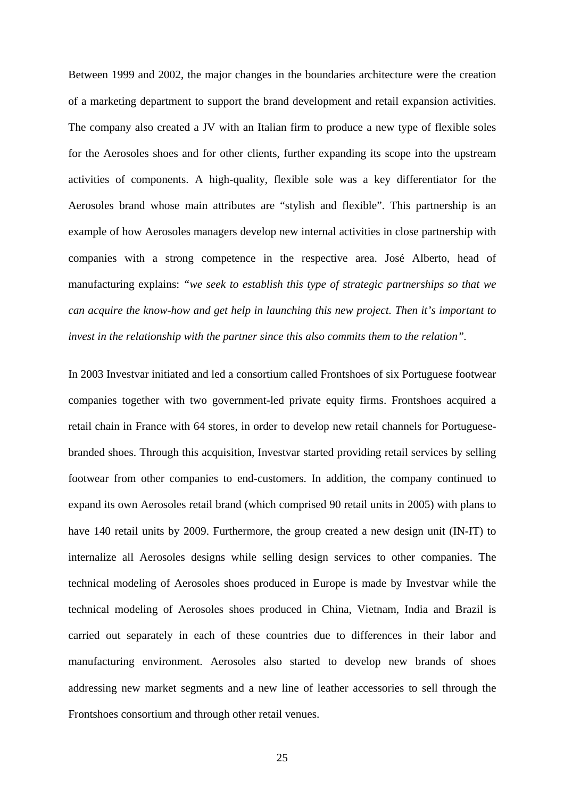Between 1999 and 2002, the major changes in the boundaries architecture were the creation of a marketing department to support the brand development and retail expansion activities. The company also created a JV with an Italian firm to produce a new type of flexible soles for the Aerosoles shoes and for other clients, further expanding its scope into the upstream activities of components. A high-quality, flexible sole was a key differentiator for the Aerosoles brand whose main attributes are "stylish and flexible". This partnership is an example of how Aerosoles managers develop new internal activities in close partnership with companies with a strong competence in the respective area. José Alberto, head of manufacturing explains: *"we seek to establish this type of strategic partnerships so that we can acquire the know-how and get help in launching this new project. Then it's important to invest in the relationship with the partner since this also commits them to the relation".*

In 2003 Investvar initiated and led a consortium called Frontshoes of six Portuguese footwear companies together with two government-led private equity firms. Frontshoes acquired a retail chain in France with 64 stores, in order to develop new retail channels for Portuguesebranded shoes. Through this acquisition, Investvar started providing retail services by selling footwear from other companies to end-customers. In addition, the company continued to expand its own Aerosoles retail brand (which comprised 90 retail units in 2005) with plans to have 140 retail units by 2009. Furthermore, the group created a new design unit (IN-IT) to internalize all Aerosoles designs while selling design services to other companies. The technical modeling of Aerosoles shoes produced in Europe is made by Investvar while the technical modeling of Aerosoles shoes produced in China, Vietnam, India and Brazil is carried out separately in each of these countries due to differences in their labor and manufacturing environment. Aerosoles also started to develop new brands of shoes addressing new market segments and a new line of leather accessories to sell through the Frontshoes consortium and through other retail venues.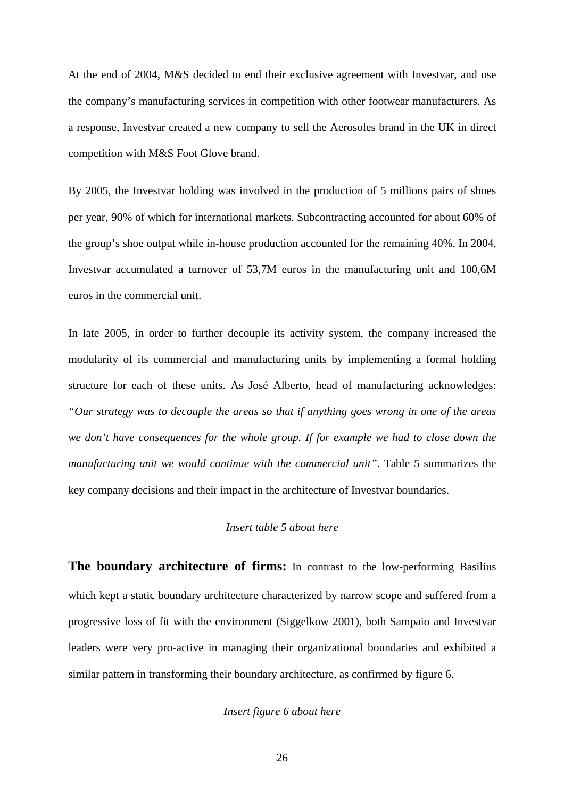At the end of 2004, M&S decided to end their exclusive agreement with Investvar, and use the company's manufacturing services in competition with other footwear manufacturers. As a response, Investvar created a new company to sell the Aerosoles brand in the UK in direct competition with M&S Foot Glove brand.

By 2005, the Investvar holding was involved in the production of 5 millions pairs of shoes per year, 90% of which for international markets. Subcontracting accounted for about 60% of the group's shoe output while in-house production accounted for the remaining 40%. In 2004, Investvar accumulated a turnover of 53,7M euros in the manufacturing unit and 100,6M euros in the commercial unit.

In late 2005, in order to further decouple its activity system, the company increased the modularity of its commercial and manufacturing units by implementing a formal holding structure for each of these units. As José Alberto, head of manufacturing acknowledges: *"Our strategy was to decouple the areas so that if anything goes wrong in one of the areas we don't have consequences for the whole group. If for example we had to close down the manufacturing unit we would continue with the commercial unit"*. Table 5 summarizes the key company decisions and their impact in the architecture of Investvar boundaries.

# *Insert table 5 about here*

**The boundary architecture of firms:** In contrast to the low-performing Basilius which kept a static boundary architecture characterized by narrow scope and suffered from a progressive loss of fit with the environment (Siggelkow 2001), both Sampaio and Investvar leaders were very pro-active in managing their organizational boundaries and exhibited a similar pattern in transforming their boundary architecture, as confirmed by figure 6.

# *Insert figure 6 about here*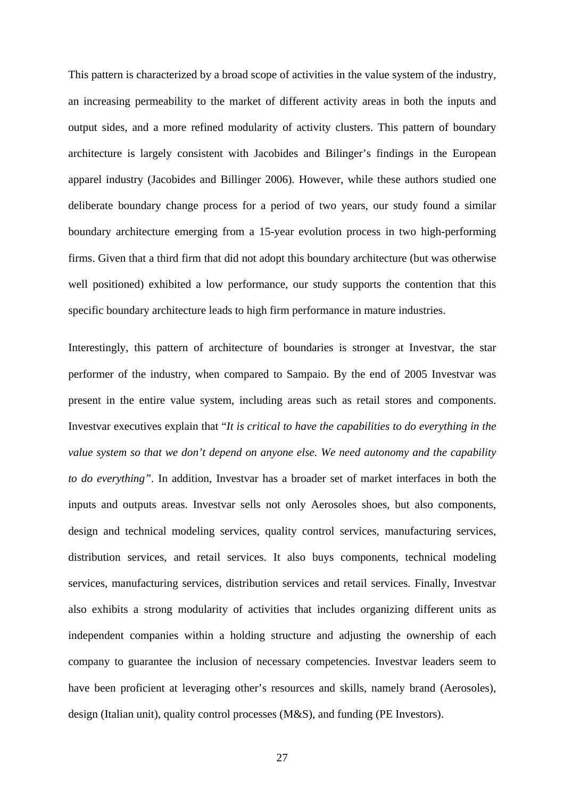This pattern is characterized by a broad scope of activities in the value system of the industry, an increasing permeability to the market of different activity areas in both the inputs and output sides, and a more refined modularity of activity clusters. This pattern of boundary architecture is largely consistent with Jacobides and Bilinger's findings in the European apparel industry (Jacobides and Billinger 2006). However, while these authors studied one deliberate boundary change process for a period of two years, our study found a similar boundary architecture emerging from a 15-year evolution process in two high-performing firms. Given that a third firm that did not adopt this boundary architecture (but was otherwise well positioned) exhibited a low performance, our study supports the contention that this specific boundary architecture leads to high firm performance in mature industries.

Interestingly, this pattern of architecture of boundaries is stronger at Investvar, the star performer of the industry, when compared to Sampaio. By the end of 2005 Investvar was present in the entire value system, including areas such as retail stores and components. Investvar executives explain that "*It is critical to have the capabilities to do everything in the value system so that we don't depend on anyone else. We need autonomy and the capability to do everything"*. In addition, Investvar has a broader set of market interfaces in both the inputs and outputs areas. Investvar sells not only Aerosoles shoes, but also components, design and technical modeling services, quality control services, manufacturing services, distribution services, and retail services. It also buys components, technical modeling services, manufacturing services, distribution services and retail services. Finally, Investvar also exhibits a strong modularity of activities that includes organizing different units as independent companies within a holding structure and adjusting the ownership of each company to guarantee the inclusion of necessary competencies. Investvar leaders seem to have been proficient at leveraging other's resources and skills, namely brand (Aerosoles), design (Italian unit), quality control processes (M&S), and funding (PE Investors).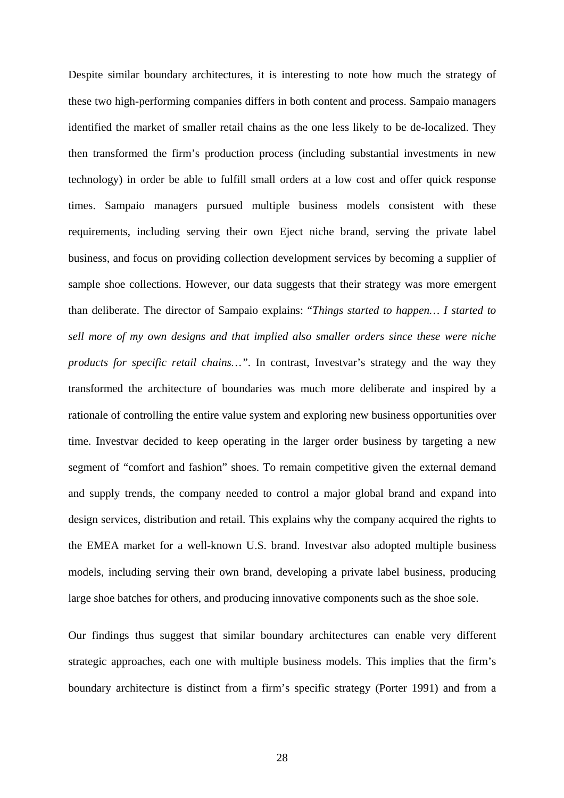Despite similar boundary architectures, it is interesting to note how much the strategy of these two high-performing companies differs in both content and process. Sampaio managers identified the market of smaller retail chains as the one less likely to be de-localized. They then transformed the firm's production process (including substantial investments in new technology) in order be able to fulfill small orders at a low cost and offer quick response times. Sampaio managers pursued multiple business models consistent with these requirements, including serving their own Eject niche brand, serving the private label business, and focus on providing collection development services by becoming a supplier of sample shoe collections. However, our data suggests that their strategy was more emergent than deliberate. The director of Sampaio explains: "*Things started to happen… I started to sell more of my own designs and that implied also smaller orders since these were niche products for specific retail chains…"*. In contrast, Investvar's strategy and the way they transformed the architecture of boundaries was much more deliberate and inspired by a rationale of controlling the entire value system and exploring new business opportunities over time. Investvar decided to keep operating in the larger order business by targeting a new segment of "comfort and fashion" shoes. To remain competitive given the external demand and supply trends, the company needed to control a major global brand and expand into design services, distribution and retail. This explains why the company acquired the rights to the EMEA market for a well-known U.S. brand. Investvar also adopted multiple business models, including serving their own brand, developing a private label business, producing large shoe batches for others, and producing innovative components such as the shoe sole.

Our findings thus suggest that similar boundary architectures can enable very different strategic approaches, each one with multiple business models. This implies that the firm's boundary architecture is distinct from a firm's specific strategy (Porter 1991) and from a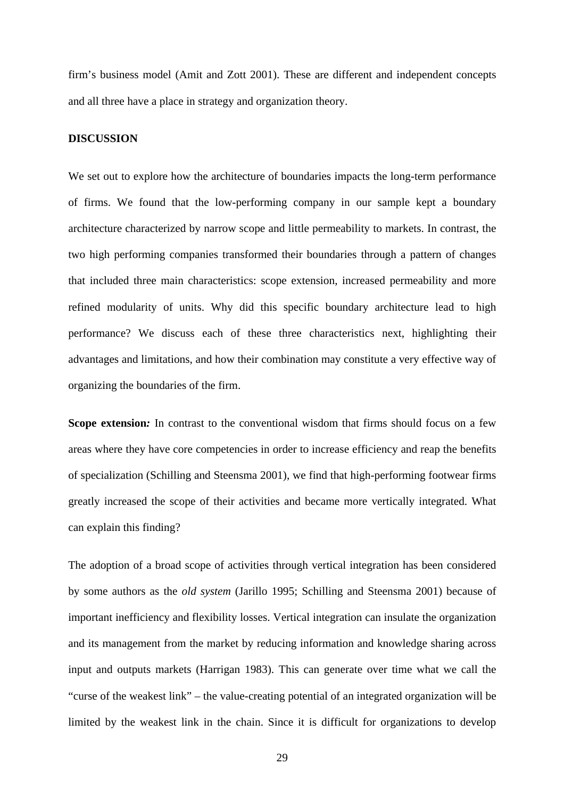firm's business model (Amit and Zott 2001). These are different and independent concepts and all three have a place in strategy and organization theory.

#### **DISCUSSION**

We set out to explore how the architecture of boundaries impacts the long-term performance of firms. We found that the low-performing company in our sample kept a boundary architecture characterized by narrow scope and little permeability to markets. In contrast, the two high performing companies transformed their boundaries through a pattern of changes that included three main characteristics: scope extension, increased permeability and more refined modularity of units. Why did this specific boundary architecture lead to high performance? We discuss each of these three characteristics next, highlighting their advantages and limitations, and how their combination may constitute a very effective way of organizing the boundaries of the firm.

**Scope extension***:* In contrast to the conventional wisdom that firms should focus on a few areas where they have core competencies in order to increase efficiency and reap the benefits of specialization (Schilling and Steensma 2001), we find that high-performing footwear firms greatly increased the scope of their activities and became more vertically integrated. What can explain this finding?

The adoption of a broad scope of activities through vertical integration has been considered by some authors as the *old system* (Jarillo 1995; Schilling and Steensma 2001) because of important inefficiency and flexibility losses. Vertical integration can insulate the organization and its management from the market by reducing information and knowledge sharing across input and outputs markets (Harrigan 1983). This can generate over time what we call the "curse of the weakest link" – the value-creating potential of an integrated organization will be limited by the weakest link in the chain. Since it is difficult for organizations to develop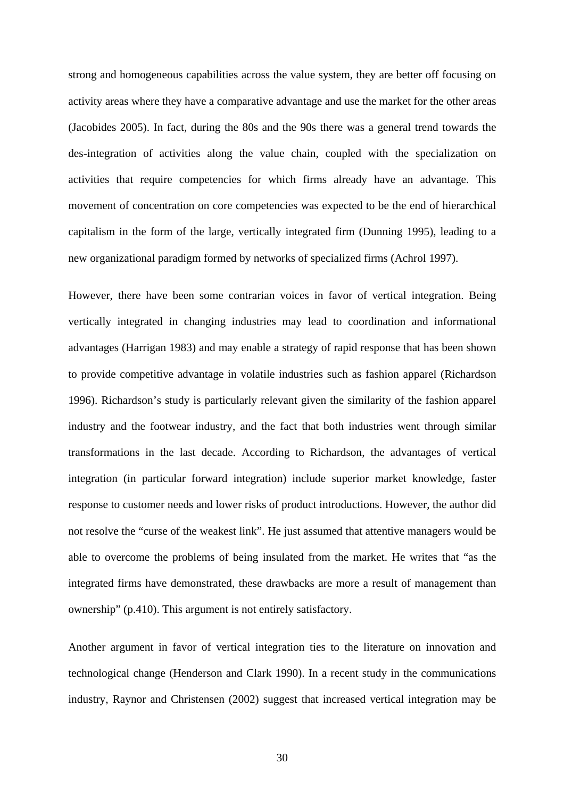strong and homogeneous capabilities across the value system, they are better off focusing on activity areas where they have a comparative advantage and use the market for the other areas (Jacobides 2005). In fact, during the 80s and the 90s there was a general trend towards the des-integration of activities along the value chain, coupled with the specialization on activities that require competencies for which firms already have an advantage. This movement of concentration on core competencies was expected to be the end of hierarchical capitalism in the form of the large, vertically integrated firm (Dunning 1995), leading to a new organizational paradigm formed by networks of specialized firms (Achrol 1997).

However, there have been some contrarian voices in favor of vertical integration. Being vertically integrated in changing industries may lead to coordination and informational advantages (Harrigan 1983) and may enable a strategy of rapid response that has been shown to provide competitive advantage in volatile industries such as fashion apparel (Richardson 1996). Richardson's study is particularly relevant given the similarity of the fashion apparel industry and the footwear industry, and the fact that both industries went through similar transformations in the last decade. According to Richardson, the advantages of vertical integration (in particular forward integration) include superior market knowledge, faster response to customer needs and lower risks of product introductions. However, the author did not resolve the "curse of the weakest link". He just assumed that attentive managers would be able to overcome the problems of being insulated from the market. He writes that "as the integrated firms have demonstrated, these drawbacks are more a result of management than ownership" (p.410). This argument is not entirely satisfactory.

Another argument in favor of vertical integration ties to the literature on innovation and technological change (Henderson and Clark 1990). In a recent study in the communications industry, Raynor and Christensen (2002) suggest that increased vertical integration may be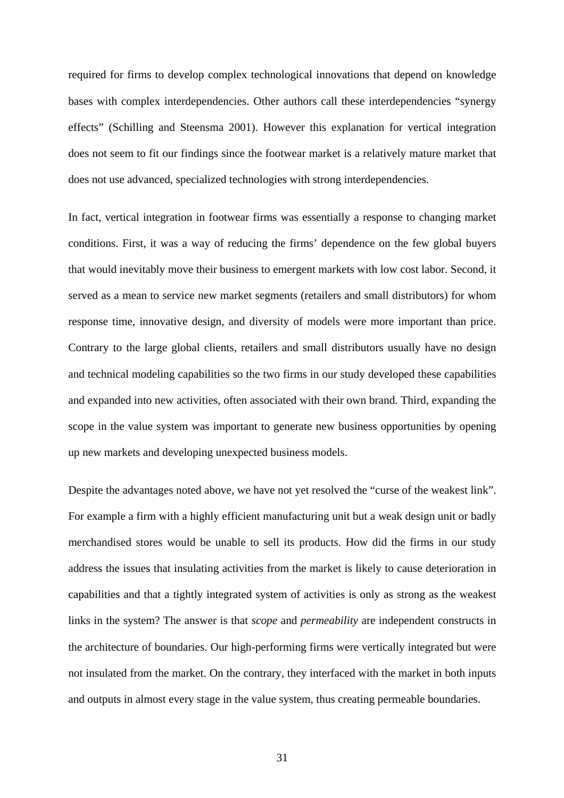required for firms to develop complex technological innovations that depend on knowledge bases with complex interdependencies. Other authors call these interdependencies "synergy effects" (Schilling and Steensma 2001). However this explanation for vertical integration does not seem to fit our findings since the footwear market is a relatively mature market that does not use advanced, specialized technologies with strong interdependencies.

In fact, vertical integration in footwear firms was essentially a response to changing market conditions. First, it was a way of reducing the firms' dependence on the few global buyers that would inevitably move their business to emergent markets with low cost labor. Second, it served as a mean to service new market segments (retailers and small distributors) for whom response time, innovative design, and diversity of models were more important than price. Contrary to the large global clients, retailers and small distributors usually have no design and technical modeling capabilities so the two firms in our study developed these capabilities and expanded into new activities, often associated with their own brand. Third, expanding the scope in the value system was important to generate new business opportunities by opening up new markets and developing unexpected business models.

Despite the advantages noted above, we have not yet resolved the "curse of the weakest link". For example a firm with a highly efficient manufacturing unit but a weak design unit or badly merchandised stores would be unable to sell its products. How did the firms in our study address the issues that insulating activities from the market is likely to cause deterioration in capabilities and that a tightly integrated system of activities is only as strong as the weakest links in the system? The answer is that *scope* and *permeability* are independent constructs in the architecture of boundaries. Our high-performing firms were vertically integrated but were not insulated from the market. On the contrary, they interfaced with the market in both inputs and outputs in almost every stage in the value system, thus creating permeable boundaries.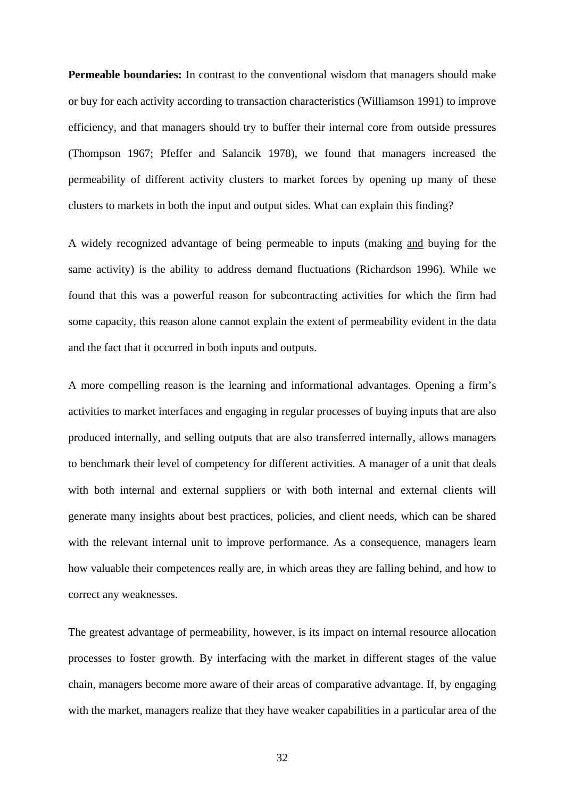**Permeable boundaries:** In contrast to the conventional wisdom that managers should make or buy for each activity according to transaction characteristics (Williamson 1991) to improve efficiency, and that managers should try to buffer their internal core from outside pressures (Thompson 1967; Pfeffer and Salancik 1978), we found that managers increased the permeability of different activity clusters to market forces by opening up many of these clusters to markets in both the input and output sides. What can explain this finding?

A widely recognized advantage of being permeable to inputs (making and buying for the same activity) is the ability to address demand fluctuations (Richardson 1996). While we found that this was a powerful reason for subcontracting activities for which the firm had some capacity, this reason alone cannot explain the extent of permeability evident in the data and the fact that it occurred in both inputs and outputs.

A more compelling reason is the learning and informational advantages. Opening a firm's activities to market interfaces and engaging in regular processes of buying inputs that are also produced internally, and selling outputs that are also transferred internally, allows managers to benchmark their level of competency for different activities. A manager of a unit that deals with both internal and external suppliers or with both internal and external clients will generate many insights about best practices, policies, and client needs, which can be shared with the relevant internal unit to improve performance. As a consequence, managers learn how valuable their competences really are, in which areas they are falling behind, and how to correct any weaknesses.

The greatest advantage of permeability, however, is its impact on internal resource allocation processes to foster growth. By interfacing with the market in different stages of the value chain, managers become more aware of their areas of comparative advantage. If, by engaging with the market, managers realize that they have weaker capabilities in a particular area of the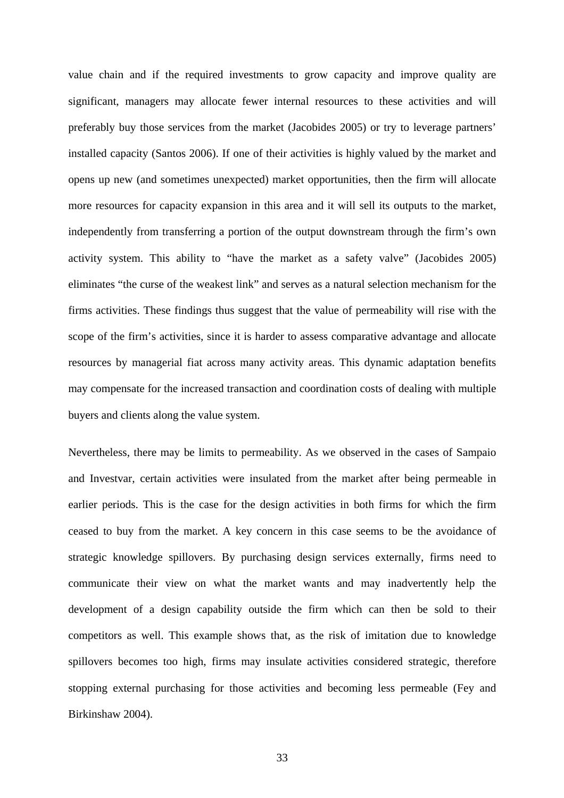value chain and if the required investments to grow capacity and improve quality are significant, managers may allocate fewer internal resources to these activities and will preferably buy those services from the market (Jacobides 2005) or try to leverage partners' installed capacity (Santos 2006). If one of their activities is highly valued by the market and opens up new (and sometimes unexpected) market opportunities, then the firm will allocate more resources for capacity expansion in this area and it will sell its outputs to the market, independently from transferring a portion of the output downstream through the firm's own activity system. This ability to "have the market as a safety valve" (Jacobides 2005) eliminates "the curse of the weakest link" and serves as a natural selection mechanism for the firms activities. These findings thus suggest that the value of permeability will rise with the scope of the firm's activities, since it is harder to assess comparative advantage and allocate resources by managerial fiat across many activity areas. This dynamic adaptation benefits may compensate for the increased transaction and coordination costs of dealing with multiple buyers and clients along the value system.

Nevertheless, there may be limits to permeability. As we observed in the cases of Sampaio and Investvar, certain activities were insulated from the market after being permeable in earlier periods. This is the case for the design activities in both firms for which the firm ceased to buy from the market. A key concern in this case seems to be the avoidance of strategic knowledge spillovers. By purchasing design services externally, firms need to communicate their view on what the market wants and may inadvertently help the development of a design capability outside the firm which can then be sold to their competitors as well. This example shows that, as the risk of imitation due to knowledge spillovers becomes too high, firms may insulate activities considered strategic, therefore stopping external purchasing for those activities and becoming less permeable (Fey and Birkinshaw 2004).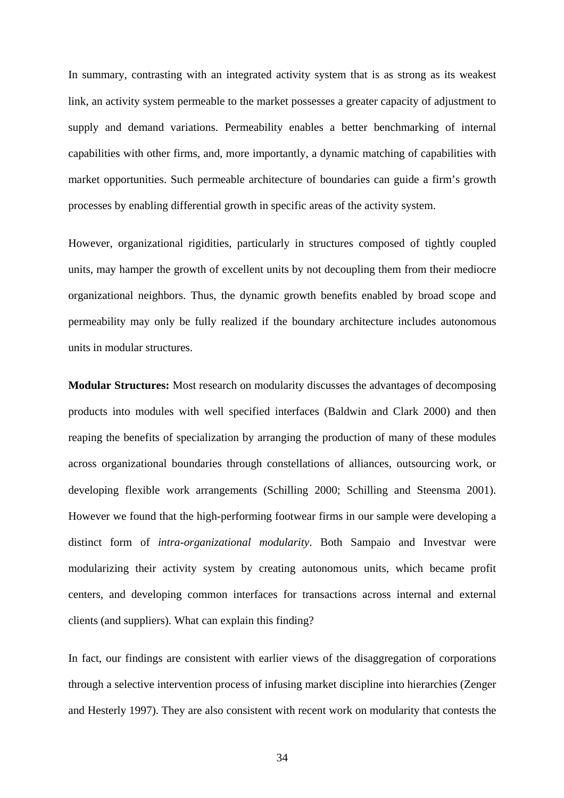In summary, contrasting with an integrated activity system that is as strong as its weakest link, an activity system permeable to the market possesses a greater capacity of adjustment to supply and demand variations. Permeability enables a better benchmarking of internal capabilities with other firms, and, more importantly, a dynamic matching of capabilities with market opportunities. Such permeable architecture of boundaries can guide a firm's growth processes by enabling differential growth in specific areas of the activity system.

However, organizational rigidities, particularly in structures composed of tightly coupled units, may hamper the growth of excellent units by not decoupling them from their mediocre organizational neighbors. Thus, the dynamic growth benefits enabled by broad scope and permeability may only be fully realized if the boundary architecture includes autonomous units in modular structures.

**Modular Structures:** Most research on modularity discusses the advantages of decomposing products into modules with well specified interfaces (Baldwin and Clark 2000) and then reaping the benefits of specialization by arranging the production of many of these modules across organizational boundaries through constellations of alliances, outsourcing work, or developing flexible work arrangements (Schilling 2000; Schilling and Steensma 2001). However we found that the high-performing footwear firms in our sample were developing a distinct form of *intra-organizational modularity*. Both Sampaio and Investvar were modularizing their activity system by creating autonomous units, which became profit centers, and developing common interfaces for transactions across internal and external clients (and suppliers). What can explain this finding?

In fact, our findings are consistent with earlier views of the disaggregation of corporations through a selective intervention process of infusing market discipline into hierarchies (Zenger and Hesterly 1997). They are also consistent with recent work on modularity that contests the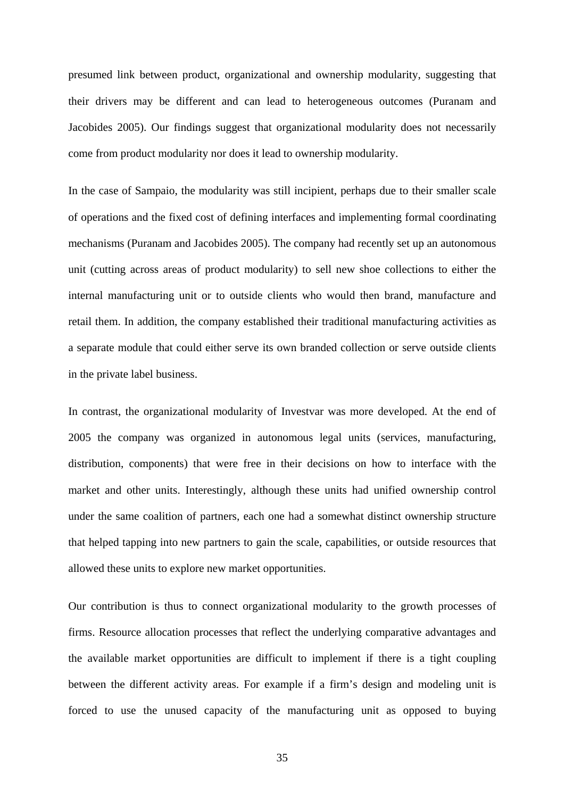presumed link between product, organizational and ownership modularity, suggesting that their drivers may be different and can lead to heterogeneous outcomes (Puranam and Jacobides 2005). Our findings suggest that organizational modularity does not necessarily come from product modularity nor does it lead to ownership modularity.

In the case of Sampaio, the modularity was still incipient, perhaps due to their smaller scale of operations and the fixed cost of defining interfaces and implementing formal coordinating mechanisms (Puranam and Jacobides 2005). The company had recently set up an autonomous unit (cutting across areas of product modularity) to sell new shoe collections to either the internal manufacturing unit or to outside clients who would then brand, manufacture and retail them. In addition, the company established their traditional manufacturing activities as a separate module that could either serve its own branded collection or serve outside clients in the private label business.

In contrast, the organizational modularity of Investvar was more developed. At the end of 2005 the company was organized in autonomous legal units (services, manufacturing, distribution, components) that were free in their decisions on how to interface with the market and other units. Interestingly, although these units had unified ownership control under the same coalition of partners, each one had a somewhat distinct ownership structure that helped tapping into new partners to gain the scale, capabilities, or outside resources that allowed these units to explore new market opportunities.

Our contribution is thus to connect organizational modularity to the growth processes of firms. Resource allocation processes that reflect the underlying comparative advantages and the available market opportunities are difficult to implement if there is a tight coupling between the different activity areas. For example if a firm's design and modeling unit is forced to use the unused capacity of the manufacturing unit as opposed to buying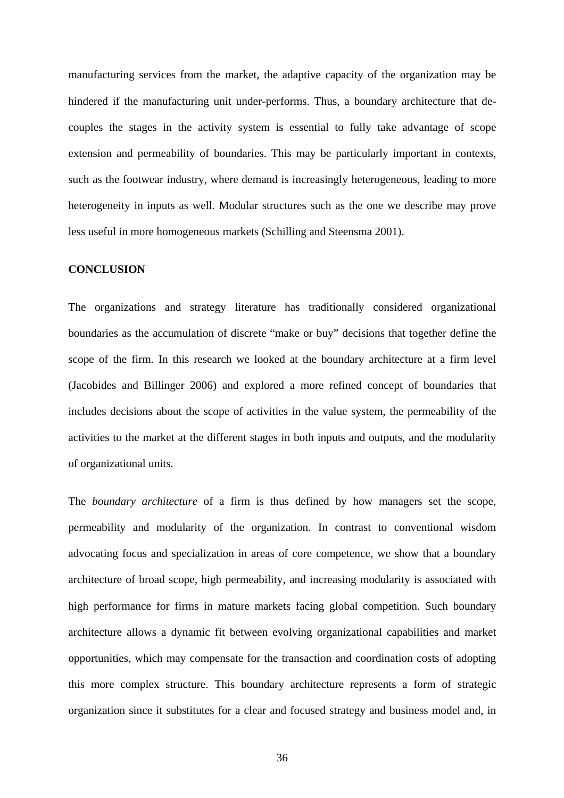manufacturing services from the market, the adaptive capacity of the organization may be hindered if the manufacturing unit under-performs. Thus, a boundary architecture that decouples the stages in the activity system is essential to fully take advantage of scope extension and permeability of boundaries. This may be particularly important in contexts, such as the footwear industry, where demand is increasingly heterogeneous, leading to more heterogeneity in inputs as well. Modular structures such as the one we describe may prove less useful in more homogeneous markets (Schilling and Steensma 2001).

# **CONCLUSION**

The organizations and strategy literature has traditionally considered organizational boundaries as the accumulation of discrete "make or buy" decisions that together define the scope of the firm. In this research we looked at the boundary architecture at a firm level (Jacobides and Billinger 2006) and explored a more refined concept of boundaries that includes decisions about the scope of activities in the value system, the permeability of the activities to the market at the different stages in both inputs and outputs, and the modularity of organizational units.

The *boundary architecture* of a firm is thus defined by how managers set the scope, permeability and modularity of the organization. In contrast to conventional wisdom advocating focus and specialization in areas of core competence, we show that a boundary architecture of broad scope, high permeability, and increasing modularity is associated with high performance for firms in mature markets facing global competition. Such boundary architecture allows a dynamic fit between evolving organizational capabilities and market opportunities, which may compensate for the transaction and coordination costs of adopting this more complex structure. This boundary architecture represents a form of strategic organization since it substitutes for a clear and focused strategy and business model and, in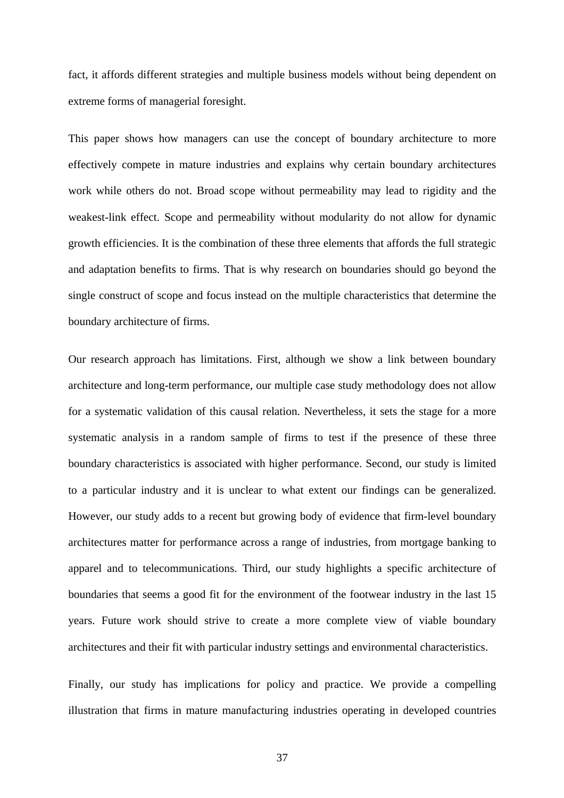fact, it affords different strategies and multiple business models without being dependent on extreme forms of managerial foresight.

This paper shows how managers can use the concept of boundary architecture to more effectively compete in mature industries and explains why certain boundary architectures work while others do not. Broad scope without permeability may lead to rigidity and the weakest-link effect. Scope and permeability without modularity do not allow for dynamic growth efficiencies. It is the combination of these three elements that affords the full strategic and adaptation benefits to firms. That is why research on boundaries should go beyond the single construct of scope and focus instead on the multiple characteristics that determine the boundary architecture of firms.

Our research approach has limitations. First, although we show a link between boundary architecture and long-term performance, our multiple case study methodology does not allow for a systematic validation of this causal relation. Nevertheless, it sets the stage for a more systematic analysis in a random sample of firms to test if the presence of these three boundary characteristics is associated with higher performance. Second, our study is limited to a particular industry and it is unclear to what extent our findings can be generalized. However, our study adds to a recent but growing body of evidence that firm-level boundary architectures matter for performance across a range of industries, from mortgage banking to apparel and to telecommunications. Third, our study highlights a specific architecture of boundaries that seems a good fit for the environment of the footwear industry in the last 15 years. Future work should strive to create a more complete view of viable boundary architectures and their fit with particular industry settings and environmental characteristics.

Finally, our study has implications for policy and practice. We provide a compelling illustration that firms in mature manufacturing industries operating in developed countries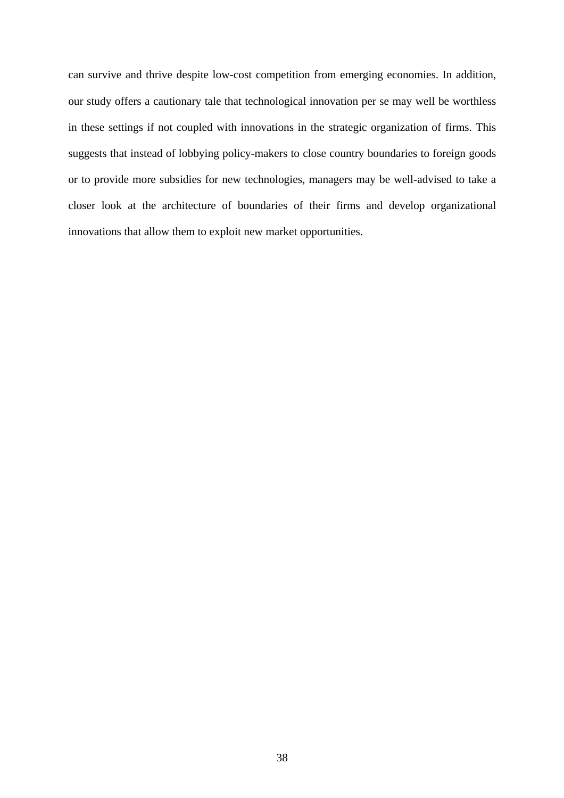can survive and thrive despite low-cost competition from emerging economies. In addition, our study offers a cautionary tale that technological innovation per se may well be worthless in these settings if not coupled with innovations in the strategic organization of firms. This suggests that instead of lobbying policy-makers to close country boundaries to foreign goods or to provide more subsidies for new technologies, managers may be well-advised to take a closer look at the architecture of boundaries of their firms and develop organizational innovations that allow them to exploit new market opportunities.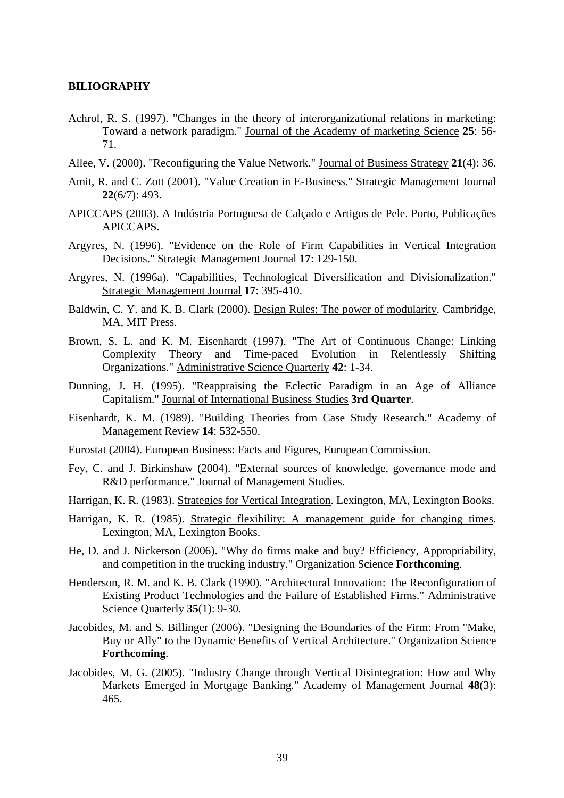### **BILIOGRAPHY**

- Achrol, R. S. (1997). "Changes in the theory of interorganizational relations in marketing: Toward a network paradigm." Journal of the Academy of marketing Science **25**: 56- 71.
- Allee, V. (2000). "Reconfiguring the Value Network." Journal of Business Strategy **21**(4): 36.
- Amit, R. and C. Zott (2001). "Value Creation in E-Business." Strategic Management Journal **22**(6/7): 493.
- APICCAPS (2003). A Indústria Portuguesa de Calçado e Artigos de Pele. Porto, Publicações APICCAPS.
- Argyres, N. (1996). "Evidence on the Role of Firm Capabilities in Vertical Integration Decisions." Strategic Management Journal **17**: 129-150.
- Argyres, N. (1996a). "Capabilities, Technological Diversification and Divisionalization." Strategic Management Journal **17**: 395-410.
- Baldwin, C. Y. and K. B. Clark (2000). Design Rules: The power of modularity. Cambridge, MA, MIT Press.
- Brown, S. L. and K. M. Eisenhardt (1997). "The Art of Continuous Change: Linking Complexity Theory and Time-paced Evolution in Relentlessly Shifting Organizations." Administrative Science Quarterly **42**: 1-34.
- Dunning, J. H. (1995). "Reappraising the Eclectic Paradigm in an Age of Alliance Capitalism." Journal of International Business Studies **3rd Quarter**.
- Eisenhardt, K. M. (1989). "Building Theories from Case Study Research." Academy of Management Review **14**: 532-550.
- Eurostat (2004). European Business: Facts and Figures, European Commission.
- Fey, C. and J. Birkinshaw (2004). "External sources of knowledge, governance mode and R&D performance." Journal of Management Studies.
- Harrigan, K. R. (1983). Strategies for Vertical Integration. Lexington, MA, Lexington Books.
- Harrigan, K. R. (1985). Strategic flexibility: A management guide for changing times. Lexington, MA, Lexington Books.
- He, D. and J. Nickerson (2006). "Why do firms make and buy? Efficiency, Appropriability, and competition in the trucking industry." Organization Science **Forthcoming**.
- Henderson, R. M. and K. B. Clark (1990). "Architectural Innovation: The Reconfiguration of Existing Product Technologies and the Failure of Established Firms." Administrative Science Quarterly **35**(1): 9-30.
- Jacobides, M. and S. Billinger (2006). "Designing the Boundaries of the Firm: From "Make, Buy or Ally" to the Dynamic Benefits of Vertical Architecture." Organization Science **Forthcoming**.
- Jacobides, M. G. (2005). "Industry Change through Vertical Disintegration: How and Why Markets Emerged in Mortgage Banking." Academy of Management Journal **48**(3): 465.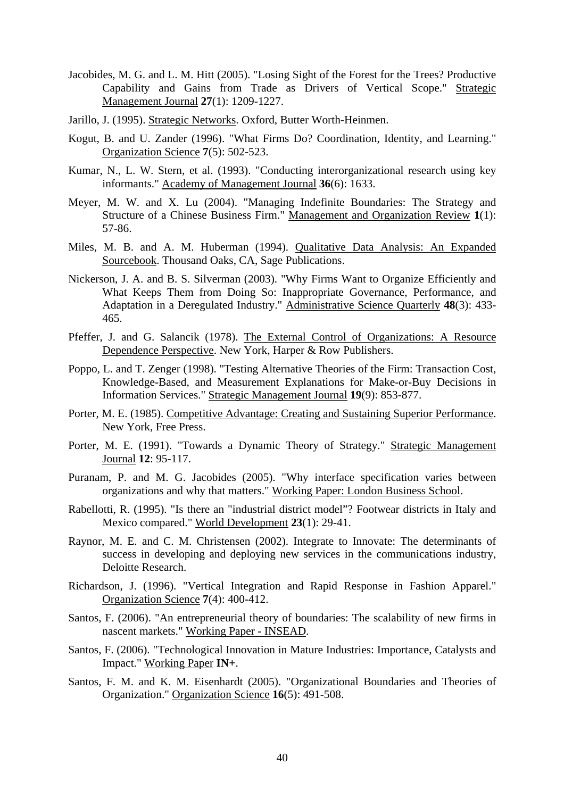- Jacobides, M. G. and L. M. Hitt (2005). "Losing Sight of the Forest for the Trees? Productive Capability and Gains from Trade as Drivers of Vertical Scope." Strategic Management Journal **27**(1): 1209-1227.
- Jarillo, J. (1995). Strategic Networks. Oxford, Butter Worth-Heinmen.
- Kogut, B. and U. Zander (1996). "What Firms Do? Coordination, Identity, and Learning." Organization Science **7**(5): 502-523.
- Kumar, N., L. W. Stern, et al. (1993). "Conducting interorganizational research using key informants." Academy of Management Journal **36**(6): 1633.
- Meyer, M. W. and X. Lu (2004). "Managing Indefinite Boundaries: The Strategy and Structure of a Chinese Business Firm." Management and Organization Review **1**(1): 57-86.
- Miles, M. B. and A. M. Huberman (1994). Qualitative Data Analysis: An Expanded Sourcebook. Thousand Oaks, CA, Sage Publications.
- Nickerson, J. A. and B. S. Silverman (2003). "Why Firms Want to Organize Efficiently and What Keeps Them from Doing So: Inappropriate Governance, Performance, and Adaptation in a Deregulated Industry." Administrative Science Quarterly **48**(3): 433- 465.
- Pfeffer, J. and G. Salancik (1978). The External Control of Organizations: A Resource Dependence Perspective. New York, Harper & Row Publishers.
- Poppo, L. and T. Zenger (1998). "Testing Alternative Theories of the Firm: Transaction Cost, Knowledge-Based, and Measurement Explanations for Make-or-Buy Decisions in Information Services." Strategic Management Journal **19**(9): 853-877.
- Porter, M. E. (1985). Competitive Advantage: Creating and Sustaining Superior Performance. New York, Free Press.
- Porter, M. E. (1991). "Towards a Dynamic Theory of Strategy." Strategic Management Journal **12**: 95-117.
- Puranam, P. and M. G. Jacobides (2005). "Why interface specification varies between organizations and why that matters." Working Paper: London Business School.
- Rabellotti, R. (1995). "Is there an "industrial district model"? Footwear districts in Italy and Mexico compared." World Development **23**(1): 29-41.
- Raynor, M. E. and C. M. Christensen (2002). Integrate to Innovate: The determinants of success in developing and deploying new services in the communications industry, Deloitte Research.
- Richardson, J. (1996). "Vertical Integration and Rapid Response in Fashion Apparel." Organization Science **7**(4): 400-412.
- Santos, F. (2006). "An entrepreneurial theory of boundaries: The scalability of new firms in nascent markets." Working Paper - INSEAD.
- Santos, F. (2006). "Technological Innovation in Mature Industries: Importance, Catalysts and Impact." Working Paper **IN+**.
- Santos, F. M. and K. M. Eisenhardt (2005). "Organizational Boundaries and Theories of Organization." Organization Science **16**(5): 491-508.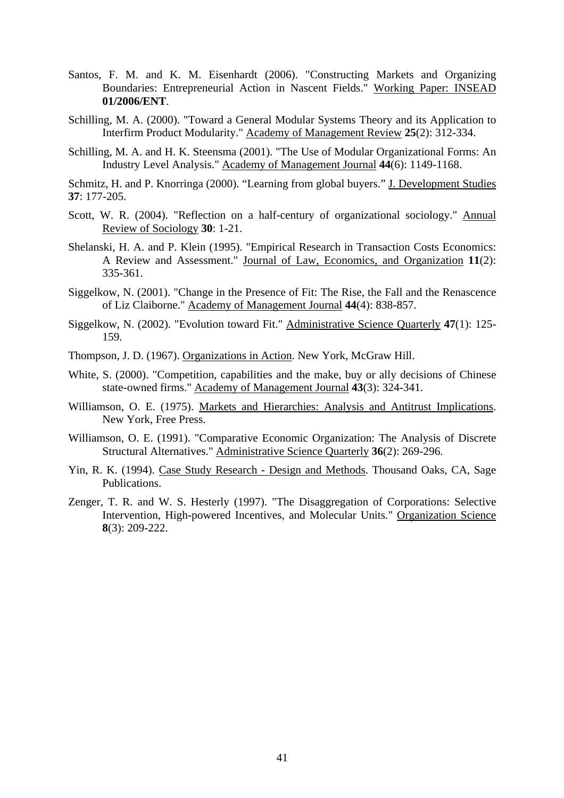- Santos, F. M. and K. M. Eisenhardt (2006). "Constructing Markets and Organizing Boundaries: Entrepreneurial Action in Nascent Fields." Working Paper: INSEAD **01/2006/ENT**.
- Schilling, M. A. (2000). "Toward a General Modular Systems Theory and its Application to Interfirm Product Modularity." Academy of Management Review **25**(2): 312-334.
- Schilling, M. A. and H. K. Steensma (2001). "The Use of Modular Organizational Forms: An Industry Level Analysis." Academy of Management Journal **44**(6): 1149-1168.
- Schmitz, H. and P. Knorringa (2000). "Learning from global buyers." J. Development Studies **37**: 177-205.
- Scott, W. R. (2004). "Reflection on a half-century of organizational sociology." Annual Review of Sociology **30**: 1-21.
- Shelanski, H. A. and P. Klein (1995). "Empirical Research in Transaction Costs Economics: A Review and Assessment." Journal of Law, Economics, and Organization **11**(2): 335-361.
- Siggelkow, N. (2001). "Change in the Presence of Fit: The Rise, the Fall and the Renascence of Liz Claiborne." Academy of Management Journal **44**(4): 838-857.
- Siggelkow, N. (2002). "Evolution toward Fit." Administrative Science Quarterly **47**(1): 125- 159.
- Thompson, J. D. (1967). Organizations in Action. New York, McGraw Hill.
- White, S. (2000). "Competition, capabilities and the make, buy or ally decisions of Chinese state-owned firms." Academy of Management Journal **43**(3): 324-341.
- Williamson, O. E. (1975). Markets and Hierarchies: Analysis and Antitrust Implications. New York, Free Press.
- Williamson, O. E. (1991). "Comparative Economic Organization: The Analysis of Discrete Structural Alternatives." Administrative Science Quarterly **36**(2): 269-296.
- Yin, R. K. (1994). Case Study Research Design and Methods. Thousand Oaks, CA, Sage Publications.
- Zenger, T. R. and W. S. Hesterly (1997). "The Disaggregation of Corporations: Selective Intervention, High-powered Incentives, and Molecular Units." Organization Science **8**(3): 209-222.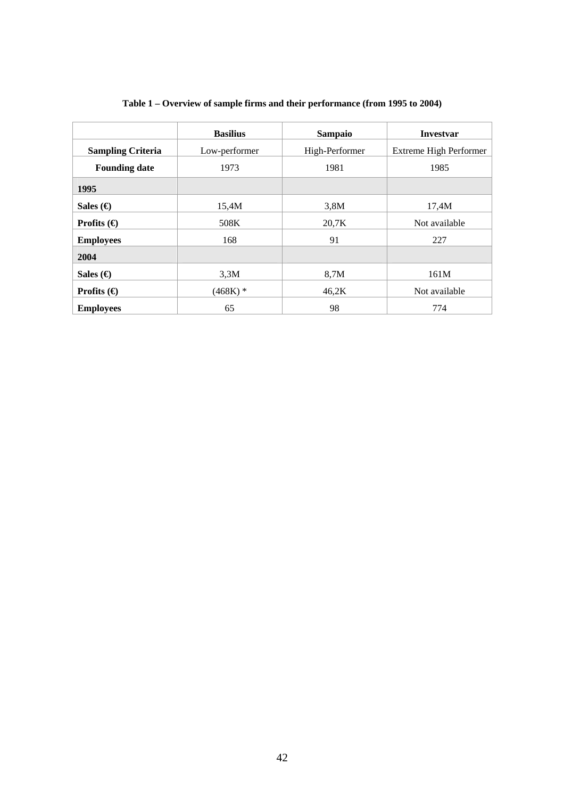|                          | <b>Basilius</b> | Sampaio        | <b>Investvar</b>              |  |
|--------------------------|-----------------|----------------|-------------------------------|--|
| <b>Sampling Criteria</b> | Low-performer   | High-Performer | <b>Extreme High Performer</b> |  |
| <b>Founding date</b>     | 1973            | 1981           | 1985                          |  |
| 1995                     |                 |                |                               |  |
| Sales (€)                | 15,4M           | 3,8M           | 17,4M                         |  |
| Profits $\Theta$         | 508K            | 20,7K          | Not available                 |  |
| <b>Employees</b>         | 168             | 91             | 227                           |  |
| 2004                     |                 |                |                               |  |
| Sales (€)                | 3,3M            | 8,7M           | 161M                          |  |
| Profits $\Theta$         | $(468K)$ *      | 46,2K          | Not available                 |  |
| <b>Employees</b>         | 65              | 98             | 774                           |  |

# **Table 1 – Overview of sample firms and their performance (from 1995 to 2004)**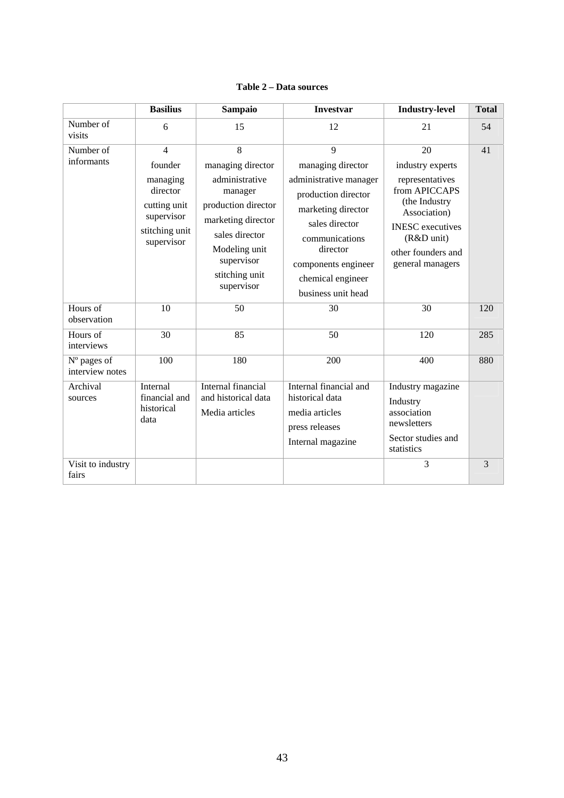| <b>Table 2 – Data sources</b> |  |
|-------------------------------|--|
|-------------------------------|--|

|                                | <b>Basilius</b>                                                                               | <b>Sampaio</b>                                                                                                | <b>Investvar</b>                                                                                           | <b>Industry-level</b>                                                                                                                                                    | <b>Total</b> |
|--------------------------------|-----------------------------------------------------------------------------------------------|---------------------------------------------------------------------------------------------------------------|------------------------------------------------------------------------------------------------------------|--------------------------------------------------------------------------------------------------------------------------------------------------------------------------|--------------|
| Number of<br>visits            | 6                                                                                             | 15                                                                                                            | 12                                                                                                         | 21                                                                                                                                                                       | 54           |
| Number of                      | $\overline{4}$                                                                                | 8                                                                                                             | $\mathbf{Q}$                                                                                               | 20                                                                                                                                                                       | 41           |
| informants                     | founder<br>managing<br>director<br>cutting unit<br>supervisor<br>stitching unit<br>supervisor | managing director<br>administrative<br>manager<br>production director<br>marketing director<br>sales director | managing director<br>administrative manager<br>production director<br>marketing director<br>sales director | industry experts<br>representatives<br>from APICCAPS<br>(the Industry<br>Association)<br><b>INESC</b> executives<br>(R&D unit)<br>other founders and<br>general managers |              |
|                                |                                                                                               | Modeling unit<br>supervisor<br>stitching unit<br>supervisor                                                   | communications<br>director<br>components engineer<br>chemical engineer<br>business unit head               |                                                                                                                                                                          |              |
| Hours of<br>observation        | 10                                                                                            | 50                                                                                                            | 30                                                                                                         | 30                                                                                                                                                                       | 120          |
| Hours of<br>interviews         | 30                                                                                            | 85                                                                                                            | 50                                                                                                         | 120                                                                                                                                                                      | 285          |
| N° pages of<br>interview notes | 100                                                                                           | 180                                                                                                           | 200                                                                                                        | 400                                                                                                                                                                      | 880          |
| Archival<br>sources            | Internal<br>financial and<br>historical<br>data                                               | Internal financial<br>and historical data<br>Media articles                                                   | Internal financial and<br>historical data<br>media articles<br>press releases<br>Internal magazine         | Industry magazine<br>Industry<br>association<br>newsletters<br>Sector studies and<br>statistics                                                                          |              |
| Visit to industry<br>fairs     |                                                                                               |                                                                                                               |                                                                                                            | 3                                                                                                                                                                        | 3            |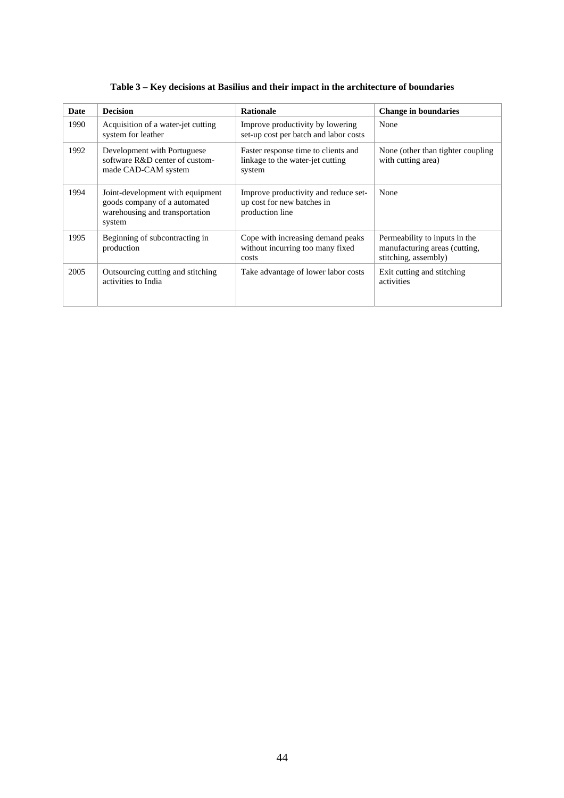| <b>Date</b> | <b>Decision</b>                                                                                              | <b>Rationale</b>                                                                      | <b>Change in boundaries</b>                                                            |
|-------------|--------------------------------------------------------------------------------------------------------------|---------------------------------------------------------------------------------------|----------------------------------------------------------------------------------------|
| 1990        | Acquisition of a water-jet cutting<br>system for leather                                                     | Improve productivity by lowering<br>set-up cost per batch and labor costs             | None                                                                                   |
| 1992        | Development with Portuguese<br>software R&D center of custom-<br>made CAD-CAM system                         | Faster response time to clients and<br>linkage to the water-jet cutting<br>system     | None (other than tighter coupling)<br>with cutting area)                               |
| 1994        | Joint-development with equipment<br>goods company of a automated<br>warehousing and transportation<br>system | Improve productivity and reduce set-<br>up cost for new batches in<br>production line | None                                                                                   |
| 1995        | Beginning of subcontracting in<br>production                                                                 | Cope with increasing demand peaks<br>without incurring too many fixed<br>costs        | Permeability to inputs in the<br>manufacturing areas (cutting,<br>stitching, assembly) |
| 2005        | Outsourcing cutting and stitching<br>activities to India                                                     | Take advantage of lower labor costs                                                   | Exit cutting and stitching<br>activities                                               |

**Table 3 – Key decisions at Basilius and their impact in the architecture of boundaries**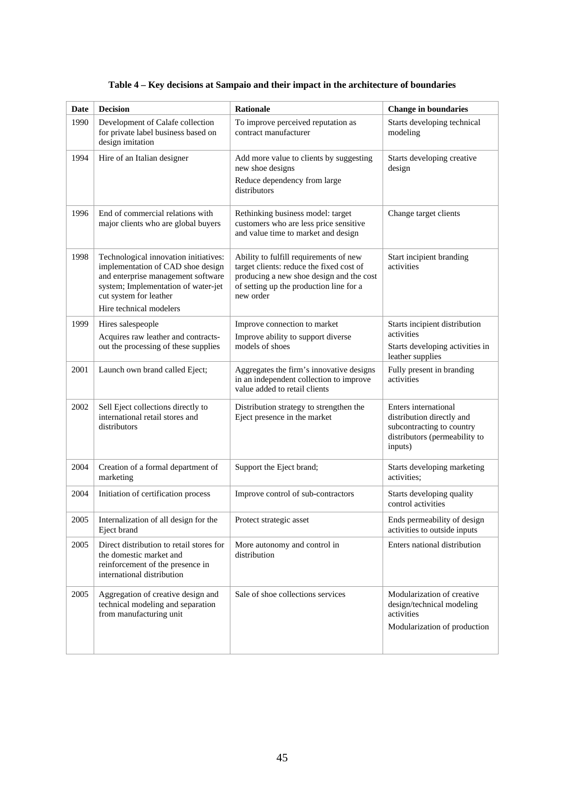| Date | <b>Decision</b>                                                                                                                                                                                              | Rationale                                                                                                                                                                              | <b>Change in boundaries</b>                                                                                                |
|------|--------------------------------------------------------------------------------------------------------------------------------------------------------------------------------------------------------------|----------------------------------------------------------------------------------------------------------------------------------------------------------------------------------------|----------------------------------------------------------------------------------------------------------------------------|
| 1990 | Development of Calafe collection<br>for private label business based on<br>design imitation                                                                                                                  | To improve perceived reputation as<br>contract manufacturer                                                                                                                            | Starts developing technical<br>modeling                                                                                    |
| 1994 | Hire of an Italian designer                                                                                                                                                                                  | Add more value to clients by suggesting<br>new shoe designs                                                                                                                            | Starts developing creative<br>design                                                                                       |
|      |                                                                                                                                                                                                              | Reduce dependency from large<br>distributors                                                                                                                                           |                                                                                                                            |
| 1996 | End of commercial relations with<br>major clients who are global buyers                                                                                                                                      | Rethinking business model: target<br>customers who are less price sensitive<br>and value time to market and design                                                                     | Change target clients                                                                                                      |
| 1998 | Technological innovation initiatives:<br>implementation of CAD shoe design<br>and enterprise management software<br>system; Implementation of water-jet<br>cut system for leather<br>Hire technical modelers | Ability to fulfill requirements of new<br>target clients: reduce the fixed cost of<br>producing a new shoe design and the cost<br>of setting up the production line for a<br>new order | Start incipient branding<br>activities                                                                                     |
| 1999 | Hires salespeople                                                                                                                                                                                            | Improve connection to market                                                                                                                                                           | Starts incipient distribution                                                                                              |
|      | Acquires raw leather and contracts-                                                                                                                                                                          | Improve ability to support diverse                                                                                                                                                     | activities                                                                                                                 |
|      | out the processing of these supplies                                                                                                                                                                         | models of shoes                                                                                                                                                                        | Starts developing activities in<br>leather supplies                                                                        |
| 2001 | Launch own brand called Eject;                                                                                                                                                                               | Aggregates the firm's innovative designs<br>in an independent collection to improve<br>value added to retail clients                                                                   | Fully present in branding<br>activities                                                                                    |
| 2002 | Sell Eject collections directly to<br>international retail stores and<br>distributors                                                                                                                        | Distribution strategy to strengthen the<br>Eject presence in the market                                                                                                                | Enters international<br>distribution directly and<br>subcontracting to country<br>distributors (permeability to<br>inputs) |
| 2004 | Creation of a formal department of<br>marketing                                                                                                                                                              | Support the Eject brand;                                                                                                                                                               | Starts developing marketing<br>activities:                                                                                 |
| 2004 | Initiation of certification process                                                                                                                                                                          | Improve control of sub-contractors                                                                                                                                                     | Starts developing quality<br>control activities                                                                            |
| 2005 | Internalization of all design for the<br>Eject brand                                                                                                                                                         | Protect strategic asset                                                                                                                                                                | Ends permeability of design<br>activities to outside inputs                                                                |
| 2005 | Direct distribution to retail stores for<br>the domestic market and<br>reinforcement of the presence in<br>international distribution                                                                        | More autonomy and control in<br>distribution                                                                                                                                           | Enters national distribution                                                                                               |
| 2005 | Aggregation of creative design and<br>technical modeling and separation<br>from manufacturing unit                                                                                                           | Sale of shoe collections services                                                                                                                                                      | Modularization of creative<br>design/technical modeling<br>activities<br>Modularization of production                      |

# **Table 4 – Key decisions at Sampaio and their impact in the architecture of boundaries**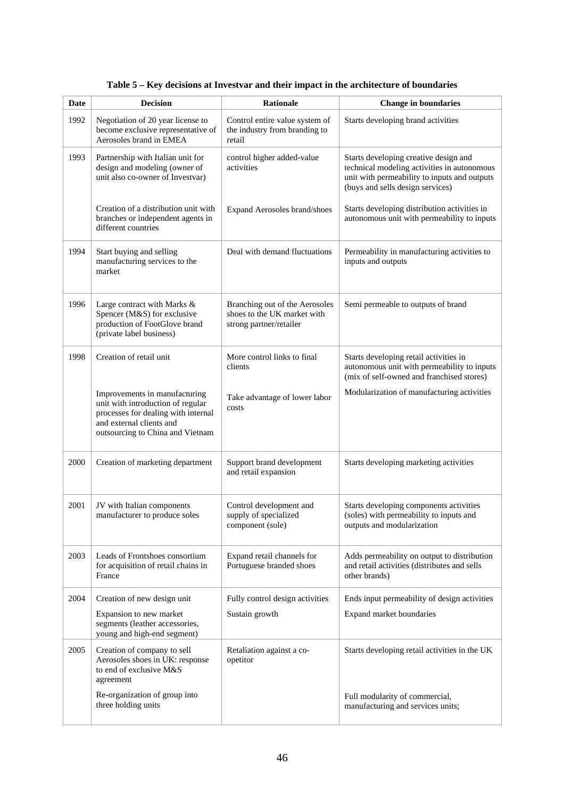| Date | <b>Decision</b>                                                                                                                                                           | Rationale                                                                                | <b>Change in boundaries</b>                                                                                                                                              |
|------|---------------------------------------------------------------------------------------------------------------------------------------------------------------------------|------------------------------------------------------------------------------------------|--------------------------------------------------------------------------------------------------------------------------------------------------------------------------|
| 1992 | Negotiation of 20 year license to<br>become exclusive representative of<br>Aerosoles brand in EMEA                                                                        | Control entire value system of<br>the industry from branding to<br>retail                | Starts developing brand activities                                                                                                                                       |
| 1993 | Partnership with Italian unit for<br>design and modeling (owner of<br>unit also co-owner of Investvar)                                                                    | control higher added-value<br>activities                                                 | Starts developing creative design and<br>technical modeling activities in autonomous<br>unit with permeability to inputs and outputs<br>(buys and sells design services) |
|      | Creation of a distribution unit with<br>branches or independent agents in<br>different countries                                                                          | Expand Aerosoles brand/shoes                                                             | Starts developing distribution activities in<br>autonomous unit with permeability to inputs                                                                              |
| 1994 | Start buying and selling<br>manufacturing services to the<br>market                                                                                                       | Deal with demand fluctuations                                                            | Permeability in manufacturing activities to<br>inputs and outputs                                                                                                        |
| 1996 | Large contract with Marks &<br>Spencer (M&S) for exclusive<br>production of FootGlove brand<br>(private label business)                                                   | Branching out of the Aerosoles<br>shoes to the UK market with<br>strong partner/retailer | Semi permeable to outputs of brand                                                                                                                                       |
| 1998 | Creation of retail unit                                                                                                                                                   | More control links to final<br>clients                                                   | Starts developing retail activities in<br>autonomous unit with permeability to inputs<br>(mix of self-owned and franchised stores)                                       |
|      | Improvements in manufacturing<br>unit with introduction of regular<br>processes for dealing with internal<br>and external clients and<br>outsourcing to China and Vietnam | Take advantage of lower labor<br>costs                                                   | Modularization of manufacturing activities                                                                                                                               |
| 2000 | Creation of marketing department                                                                                                                                          | Support brand development<br>and retail expansion                                        | Starts developing marketing activities                                                                                                                                   |
| 2001 | JV with Italian components<br>manufacturer to produce soles                                                                                                               | Control development and<br>supply of specialized<br>component (sole)                     | Starts developing components activities<br>(soles) with permeability to inputs and<br>outputs and modularization                                                         |
| 2003 | Leads of Frontshoes consortium<br>for acquisition of retail chains in<br>France                                                                                           | Expand retail channels for<br>Portuguese branded shoes                                   | Adds permeability on output to distribution<br>and retail activities (distributes and sells<br>other brands)                                                             |
| 2004 | Creation of new design unit                                                                                                                                               | Fully control design activities                                                          | Ends input permeability of design activities                                                                                                                             |
|      | Expansion to new market<br>segments (leather accessories,<br>young and high-end segment)                                                                                  | Sustain growth                                                                           | Expand market boundaries                                                                                                                                                 |
| 2005 | Creation of company to sell<br>Aerosoles shoes in UK: response<br>to end of exclusive M&S<br>agreement                                                                    | Retaliation against a co-<br>opetitor                                                    | Starts developing retail activities in the UK                                                                                                                            |
|      | Re-organization of group into<br>three holding units                                                                                                                      |                                                                                          | Full modularity of commercial,<br>manufacturing and services units;                                                                                                      |

**Table 5 – Key decisions at Investvar and their impact in the architecture of boundaries**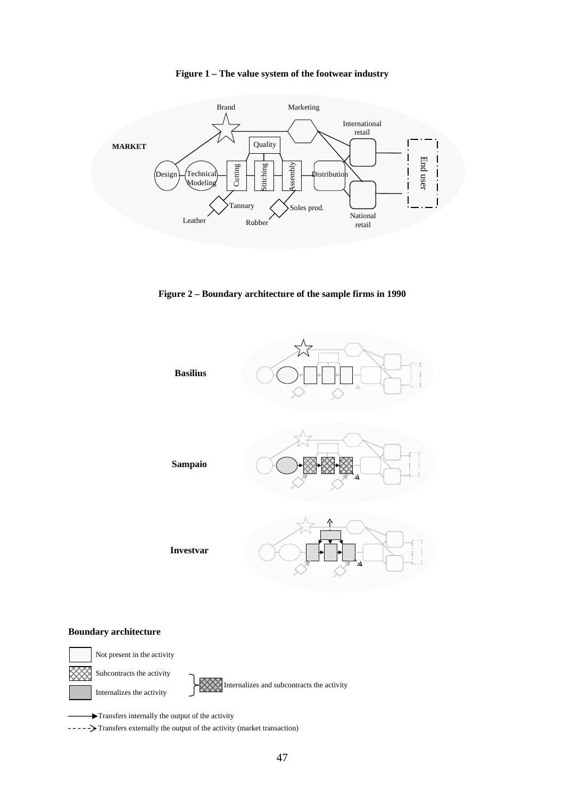



**Figure 2 – Boundary architecture of the sample firms in 1990** 



#### **Boundary architecture**



Not present in the activity Subcontracts the activity

Internalizes the activity

Internalizes and subcontracts the activity

Transfers internally the output of the activity

-----> Transfers externally the output of the activity (market transaction)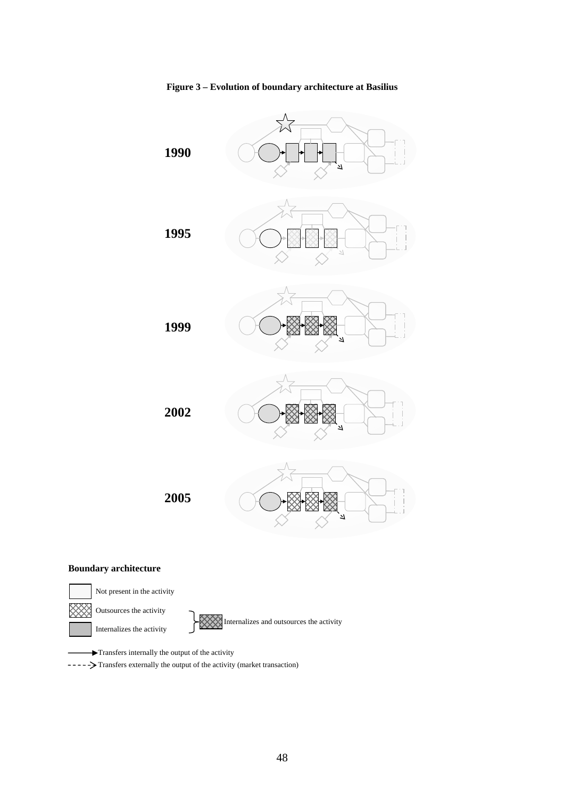

#### **Figure 3 – Evolution of boundary architecture at Basilius**

#### **Boundary architecture**



Transfers internally the output of the activity

---- > Transfers externally the output of the activity (market transaction)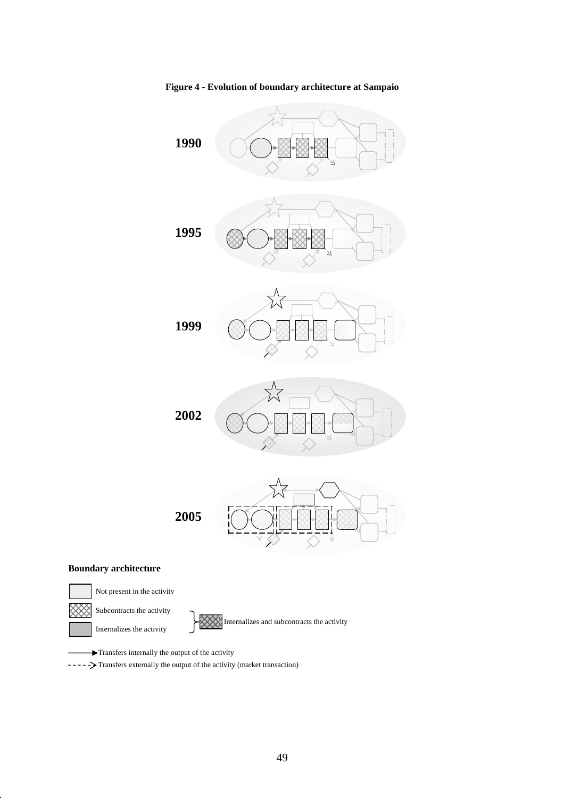

**Figure 4 - Evolution of boundary architecture at Sampaio** 



# **Boundary architecture**



Transfers internally the output of the activity

-----> Transfers externally the output of the activity (market transaction)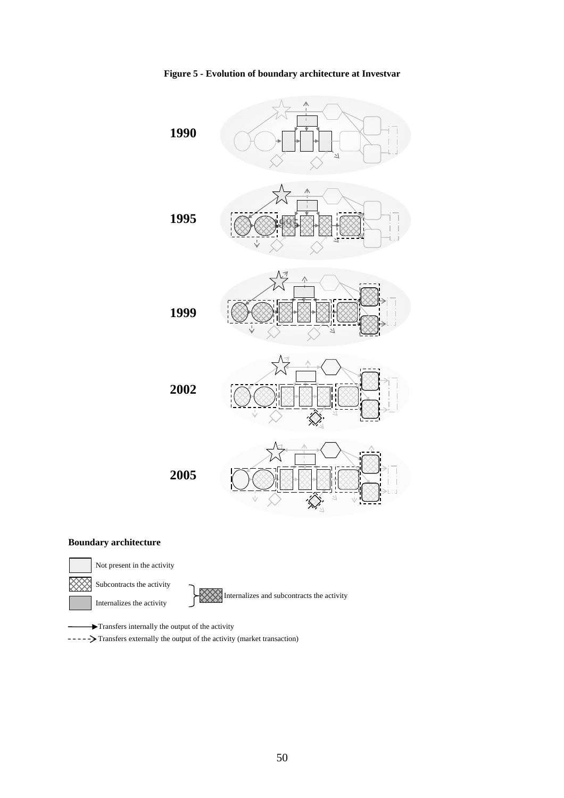

**Figure 5 - Evolution of boundary architecture at Investvar** 

#### **Boundary architecture**



Not present in the activity

Subcontracts the activity

Internalizes the activity

Internalizes and subcontracts the activity

Transfers internally the output of the activity

-----> Transfers externally the output of the activity (market transaction)